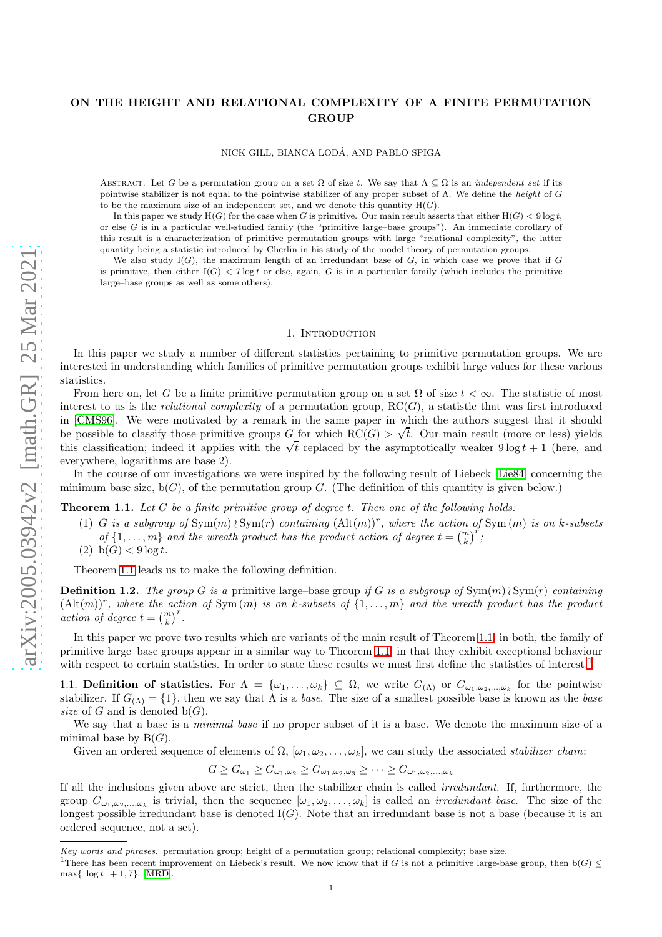# ON THE HEIGHT AND RELATIONAL COMPLEXITY OF A FINITE PERMUTATION **GROUP**

NICK GILL, BIANCA LODA, AND PABLO SPIGA ´

ABSTRACT. Let G be a permutation group on a set  $\Omega$  of size t. We say that  $\Lambda \subseteq \Omega$  is an *independent set* if its pointwise stabilizer is not equal to the pointwise stabilizer of any proper subset of Λ. We define the height of G to be the maximum size of an independent set, and we denote this quantity  $H(G)$ .

In this paper we study  $H(G)$  for the case when G is primitive. Our main result asserts that either  $H(G) < 9 \log t$ , or else G is in a particular well-studied family (the "primitive large–base groups"). An immediate corollary of this result is a characterization of primitive permutation groups with large "relational complexity", the latter quantity being a statistic introduced by Cherlin in his study of the model theory of permutation groups.

We also study  $I(G)$ , the maximum length of an irredundant base of G, in which case we prove that if G is primitive, then either  $I(G) < 7 \log t$  or else, again, G is in a particular family (which includes the primitive large–base groups as well as some others).

## 1. INTRODUCTION

<span id="page-0-2"></span>In this paper we study a number of different statistics pertaining to primitive permutation groups. We are interested in understanding which families of primitive permutation groups exhibit large values for these various statistics.

From here on, let G be a finite primitive permutation group on a set  $\Omega$  of size  $t < \infty$ . The statistic of most interest to us is the *relational complexity* of a permutation group, RC(G), a statistic that was first introduced in [\[CMS96\]](#page-25-0). We were motivated by a remark in the same paper in which the authors suggest that it should be possible to classify those primitive groups G for which  $RC(G) > \sqrt{t}$ . Our main result (more or less) yields this classification; indeed it applies with the  $\sqrt{t}$  replaced by the asymptotically weaker  $9 \log t + 1$  (here, and everywhere, logarithms are base 2).

In the course of our investigations we were inspired by the following result of Liebeck [\[Lie84\]](#page-25-1) concerning the minimum base size,  $b(G)$ , of the permutation group G. (The definition of this quantity is given below.)

<span id="page-0-0"></span>Theorem 1.1. *Let* G *be a finite primitive group of degree* t*. Then one of the following holds:*

- (1) <sup>G</sup> *is a subgroup of* Sym(m) <sup>≀</sup> Sym(r) *containing* (Alt(m))<sup>r</sup> *, where the action of* Sym (m) *is on* k*-subsets* of  $\{1, \ldots, m\}$  and the wreath product has the product action of degree  $t = {m \choose k}^r$ ;
- (2)  $b(G) < 9 \log t$ .

Theorem [1.1](#page-0-0) leads us to make the following definition.

**Definition 1.2.** *The group* G *is a* primitive large–base group *if* G *is a subgroup of*  $Sym(m) \wr Sym(r)$  *containing*  $(Alt(m))^r$ , where the action of  $Sym(m)$  is on k-subsets of  $\{1,\ldots,m\}$  and the wreath product has the product  $\text{action of degree } t = {m \choose k}^r.$ 

In this paper we prove two results which are variants of the main result of Theorem [1.1;](#page-0-0) in both, the family of primitive large–base groups appear in a similar way to Theorem [1.1,](#page-0-0) in that they exhibit exceptional behaviour with respect to certain statistics. In order to state these results we must first define the statistics of interest.<sup>[1](#page-0-1)</sup>

1.1. **Definition of statistics.** For  $\Lambda = {\omega_1, \ldots, \omega_k} \subseteq \Omega$ , we write  $G_{(\Lambda)}$  or  $G_{\omega_1, \omega_2, \ldots, \omega_k}$  for the pointwise stabilizer. If  $G_{(\Lambda)} = \{1\}$ , then we say that  $\Lambda$  is a *base*. The size of a smallest possible base is known as the *base size* of G and is denoted  $b(G)$ .

We say that a base is a *minimal base* if no proper subset of it is a base. We denote the maximum size of a minimal base by  $B(G)$ .

Given an ordered sequence of elements of  $\Omega$ ,  $[\omega_1, \omega_2, \ldots, \omega_k]$ , we can study the associated *stabilizer chain*:

 $G \geq G_{\omega_1} \geq G_{\omega_1,\omega_2} \geq G_{\omega_1,\omega_2,\omega_3} \geq \cdots \geq G_{\omega_1,\omega_2,\dots,\omega_k}$ 

If all the inclusions given above are strict, then the stabilizer chain is called *irredundant*. If, furthermore, the group  $G_{\omega_1,\omega_2,\dots,\omega_k}$  is trivial, then the sequence  $[\omega_1,\omega_2,\dots,\omega_k]$  is called an *irredundant base*. The size of the longest possible irredundant base is denoted  $I(G)$ . Note that an irredundant base is not a base (because it is an ordered sequence, not a set).

Key words and phrases. permutation group; height of a permutation group; relational complexity; base size.

<span id="page-0-1"></span><sup>&</sup>lt;sup>1</sup>There has been recent improvement on Liebeck's result. We now know that if G is not a primitive large-base group, then  $b(G) \leq$  $\max\{\lceil \log t \rceil + 1, 7\}.$  [\[MRD\]](#page-25-2).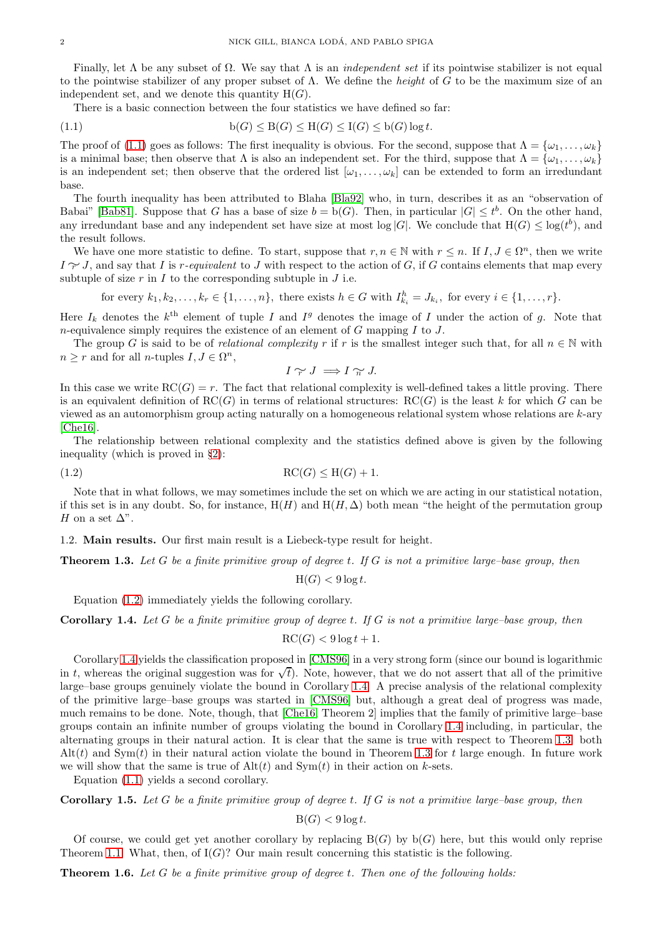Finally, let  $\Lambda$  be any subset of  $\Omega$ . We say that  $\Lambda$  is an *independent set* if its pointwise stabilizer is not equal to the pointwise stabilizer of any proper subset of Λ. We define the *height* of G to be the maximum size of an independent set, and we denote this quantity  $H(G)$ .

<span id="page-1-0"></span>There is a basic connection between the four statistics we have defined so far:

(1.1) 
$$
b(G) \leq B(G) \leq H(G) \leq I(G) \leq b(G) \log t.
$$

The proof of [\(1.1\)](#page-1-0) goes as follows: The first inequality is obvious. For the second, suppose that  $\Lambda = {\omega_1, \ldots, \omega_k}$ is a minimal base; then observe that  $\Lambda$  is also an independent set. For the third, suppose that  $\Lambda = {\omega_1, \ldots, \omega_k}$ is an independent set; then observe that the ordered list  $[\omega_1, \ldots, \omega_k]$  can be extended to form an irredundant base.

The fourth inequality has been attributed to Blaha [\[Bla92\]](#page-25-3) who, in turn, describes it as an "observation of Babai" [\[Bab81\]](#page-25-4). Suppose that G has a base of size  $b = b(G)$ . Then, in particular  $|G| \leq t^b$ . On the other hand, any irredundant base and any independent set have size at most  $log |G|$ . We conclude that  $H(G) \le log(t^b)$ , and the result follows.

We have one more statistic to define. To start, suppose that  $r, n \in \mathbb{N}$  with  $r \leq n$ . If  $I, J \in \Omega^n$ , then we write <sup>I</sup> ∼<sup>r</sup> <sup>J</sup>, and say that <sup>I</sup> is <sup>r</sup>*-equivalent* to <sup>J</sup> with respect to the action of <sup>G</sup>, if <sup>G</sup> contains elements that map every subtuple of size  $r$  in  $I$  to the corresponding subtuple in  $J$  i.e.

for every  $k_1, k_2, \ldots, k_r \in \{1, \ldots, n\}$ , there exists  $h \in G$  with  $I_{k_i}^h = J_{k_i}$ , for every  $i \in \{1, \ldots, r\}$ .

Here  $I_k$  denotes the  $k^{\text{th}}$  element of tuple I and I<sup>g</sup> denotes the image of I under the action of g. Note that *n*-equivalence simply requires the existence of an element of  $G$  mapping  $I$  to  $J$ .

The group G is said to be of *relational complexity* r if r is the smallest integer such that, for all  $n \in \mathbb{N}$  with  $n \geq r$  and for all *n*-tuples  $I, J \in \Omega^n$ ,

<span id="page-1-1"></span>
$$
I \sim J \implies I \sim J.
$$

In this case we write  $RC(G) = r$ . The fact that relational complexity is well-defined takes a little proving. There is an equivalent definition of  $RC(G)$  in terms of relational structures:  $RC(G)$  is the least k for which G can be viewed as an automorphism group acting naturally on a homogeneous relational system whose relations are k-ary [\[Che16\]](#page-25-5).

The relationship between relational complexity and the statistics defined above is given by the following inequality (which is proved in §[2\)](#page-2-0):

$$
RC(G) \leq H(G) + 1.
$$

Note that in what follows, we may sometimes include the set on which we are acting in our statistical notation, if this set is in any doubt. So, for instance,  $H(H)$  and  $H(H, \Delta)$  both mean "the height of the permutation group H on a set  $\Delta$ ".

1.2. Main results. Our first main result is a Liebeck-type result for height.

<span id="page-1-3"></span>Theorem 1.3. *Let* G *be a finite primitive group of degree* t*. If* G *is not a primitive large–base group, then*

 $H(G) < 9 \log t$ .

Equation [\(1.2\)](#page-1-1) immediately yields the following corollary.

<span id="page-1-2"></span>Corollary 1.4. *Let* G *be a finite primitive group of degree* t*. If* G *is not a primitive large–base group, then*

$$
\mathrm{RC}(G) < 9\log t + 1.
$$

Corollary [1.4](#page-1-2) yields the classification proposed in [\[CMS96\]](#page-25-0) in a very strong form (since our bound is logarithmic in t, whereas the original suggestion was for  $\sqrt{t}$ ). Note, however, that we do not assert that all of the primitive large–base groups genuinely violate the bound in Corollary [1.4.](#page-1-2) A precise analysis of the relational complexity of the primitive large–base groups was started in [\[CMS96\]](#page-25-0) but, although a great deal of progress was made, much remains to be done. Note, though, that [\[Che16,](#page-25-5) Theorem 2] implies that the family of primitive large–base groups contain an infinite number of groups violating the bound in Corollary [1.4](#page-1-2) including, in particular, the alternating groups in their natural action. It is clear that the same is true with respect to Theorem [1.3:](#page-1-3) both  $\text{Alt}(t)$  and  $\text{Sym}(t)$  in their natural action violate the bound in Theorem [1.3](#page-1-3) for t large enough. In future work we will show that the same is true of  $\text{Alt}(t)$  and  $\text{Sym}(t)$  in their action on k-sets.

Equation [\(1.1\)](#page-1-0) yields a second corollary.

Corollary 1.5. *Let* G *be a finite primitive group of degree* t*. If* G *is not a primitive large–base group, then*

$$
\mathcal{B}(G) < 9\log t.
$$

Of course, we could get yet another corollary by replacing  $B(G)$  by  $b(G)$  here, but this would only reprise Theorem [1.1.](#page-0-0) What, then, of  $I(G)$ ? Our main result concerning this statistic is the following.

<span id="page-1-4"></span>Theorem 1.6. *Let* G *be a finite primitive group of degree* t*. Then one of the following holds:*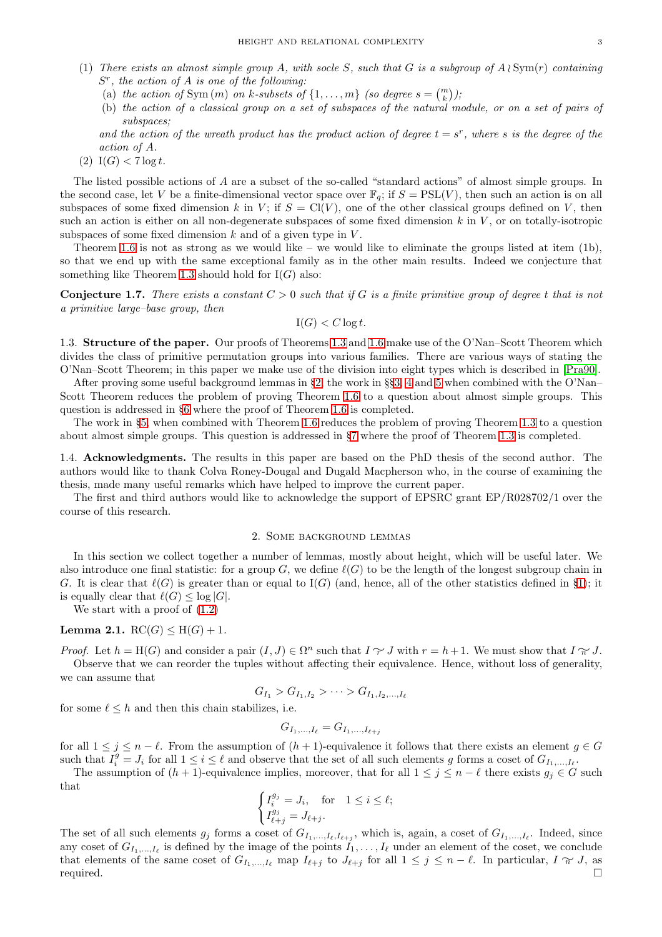- (1) *There exists an almost simple group* A*, with socle* S*, such that* G *is a subgroup of* A ≀ Sym(r) *containing* S r *, the action of* A *is one of the following:*
	- (a) the action of Sym $(m)$  on k-subsets of  $\{1, \ldots, m\}$  (so degree  $s = {m \choose k}$ );
	- (b) *the action of a classical group on a set of subspaces of the natural module, or on a set of pairs of subspaces;*
	- and the action of the wreath product has the product action of degree  $t = s^r$ , where s is the degree of the *action of* A*.*
- (2)  $I(G) < 7 \log t$ .

The listed possible actions of A are a subset of the so-called "standard actions" of almost simple groups. In the second case, let V be a finite-dimensional vector space over  $\mathbb{F}_q$ ; if  $S = \text{PSL}(V)$ , then such an action is on all subspaces of some fixed dimension k in V; if  $S = Cl(V)$ , one of the other classical groups defined on V, then such an action is either on all non-degenerate subspaces of some fixed dimension  $k$  in  $V$ , or on totally-isotropic subspaces of some fixed dimension  $k$  and of a given type in  $V$ .

Theorem [1.6](#page-1-4) is not as strong as we would like – we would like to eliminate the groups listed at item (1b), so that we end up with the same exceptional family as in the other main results. Indeed we conjecture that something like Theorem [1.3](#page-1-3) should hold for  $I(G)$  also:

<span id="page-2-1"></span>Conjecture 1.7. *There exists a constant* C > 0 *such that if* G *is a finite primitive group of degree* t *that is not a primitive large–base group, then*

$$
I(G) < C \log t.
$$

1.3. Structure of the paper. Our proofs of Theorems [1.3](#page-1-3) and [1.6](#page-1-4) make use of the O'Nan–Scott Theorem which divides the class of primitive permutation groups into various families. There are various ways of stating the O'Nan–Scott Theorem; in this paper we make use of the division into eight types which is described in [\[Pra90\]](#page-25-6).

After proving some useful background lemmas in §[2,](#page-2-0) the work in §§[3,](#page-5-0) [4](#page-6-0) and [5](#page-7-0) when combined with the O'Nan– Scott Theorem reduces the problem of proving Theorem [1.6](#page-1-4) to a question about almost simple groups. This question is addressed in §[6](#page-8-0) where the proof of Theorem [1.6](#page-1-4) is completed.

The work in §[5,](#page-7-0) when combined with Theorem [1.6](#page-1-4) reduces the problem of proving Theorem [1.3](#page-1-3) to a question about almost simple groups. This question is addressed in §[7](#page-16-0) where the proof of Theorem [1.3](#page-1-3) is completed.

1.4. Acknowledgments. The results in this paper are based on the PhD thesis of the second author. The authors would like to thank Colva Roney-Dougal and Dugald Macpherson who, in the course of examining the thesis, made many useful remarks which have helped to improve the current paper.

<span id="page-2-0"></span>The first and third authors would like to acknowledge the support of EPSRC grant EP/R028702/1 over the course of this research.

## 2. Some background lemmas

In this section we collect together a number of lemmas, mostly about height, which will be useful later. We also introduce one final statistic: for a group G, we define  $\ell(G)$  to be the length of the longest subgroup chain in G. It is clear that  $\ell(G)$  is greater than or equal to I(G) (and, hence, all of the other statistics defined in §[1\)](#page-0-2); it is equally clear that  $\ell(G) \leq \log |G|$ .

We start with a proof of  $(1.2)$ 

# **Lemma 2.1.**  $RC(G) < H(G) + 1$ .

*Proof.* Let  $h = H(G)$  and consider a pair  $(I, J) \in \Omega^n$  such that  $I \ncong J$  with  $r = h + 1$ . We must show that  $I \ncong J$ . Observe that we can reorder the tuples without affecting their equivalence. Hence, without loss of generality, we can assume that

$$
G_{I_1} > G_{I_1,I_2} > \cdots > G_{I_1,I_2,\ldots,I_\ell}
$$

for some  $\ell \leq h$  and then this chain stabilizes, i.e.

$$
G_{I_1,...,I_{\ell}} = G_{I_1,...,I_{\ell+j}}
$$

for all  $1 \leq j \leq n - \ell$ . From the assumption of  $(h + 1)$ -equivalence it follows that there exists an element  $g \in G$ such that  $I_i^g = J_i$  for all  $1 \leq i \leq \ell$  and observe that the set of all such elements g forms a coset of  $G_{I_1,...,I_\ell}$ .

The assumption of  $(h + 1)$ -equivalence implies, moreover, that for all  $1 \leq j \leq n - \ell$  there exists  $g_j \in G$  such that

$$
\begin{cases} I_i^{g_j} = J_i, & \text{for} \quad 1 \le i \le \ell; \\ I_{\ell+j}^{g_j} = J_{\ell+j}.\end{cases}
$$

The set of all such elements  $g_j$  forms a coset of  $G_{I_1,...,I_\ell,I_{\ell+j}}$ , which is, again, a coset of  $G_{I_1,...,I_\ell}$ . Indeed, since any coset of  $G_{I_1,...,I_\ell}$  is defined by the image of the points  $I_1,...,I_\ell$  under an element of the coset, we conclude that elements of the same coset of  $G_{I_1,...,I_\ell}$  map  $I_{\ell+j}$  to  $J_{\ell+j}$  for all  $1 \leq j \leq n-\ell$ . In particular,  $I \nrightarrow J$ , as required. required.  $\Box$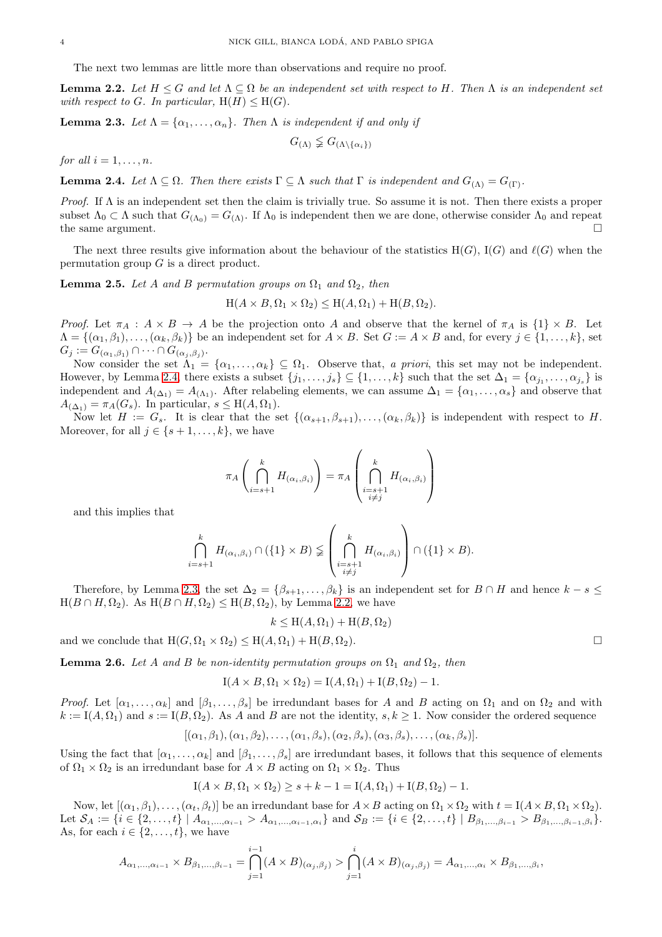The next two lemmas are little more than observations and require no proof.

<span id="page-3-2"></span>**Lemma 2.2.** Let  $H \leq G$  and let  $\Lambda \subseteq \Omega$  be an independent set with respect to H. Then  $\Lambda$  is an independent set *with respect to G. In particular,*  $H(H) \leq H(G)$ *.* 

<span id="page-3-1"></span>**Lemma 2.3.** *Let*  $\Lambda = {\alpha_1, \ldots, \alpha_n}$ *. Then*  $\Lambda$  *is independent if and only if* 

 $G_{(\Lambda)} \nleq G_{(\Lambda \setminus {\{\alpha_i\}})}$ 

*for all*  $i = 1, \ldots, n$ *.* 

<span id="page-3-0"></span>**Lemma 2.4.** Let  $\Lambda \subseteq \Omega$ . Then there exists  $\Gamma \subseteq \Lambda$  such that  $\Gamma$  is independent and  $G_{(\Lambda)} = G_{(\Gamma)}$ .

*Proof.* If  $\Lambda$  is an independent set then the claim is trivially true. So assume it is not. Then there exists a proper subset  $\Lambda_0 \subset \Lambda$  such that  $G_{(\Lambda_0)} = G_{(\Lambda)}$ . If  $\Lambda_0$  is independent then we are done, otherwise consider  $\Lambda_0$  and repeat the same argument. the same argument.

The next three results give information about the behaviour of the statistics  $H(G)$ ,  $I(G)$  and  $\ell(G)$  when the permutation group  $G$  is a direct product.

<span id="page-3-4"></span>**Lemma 2.5.** *Let* A and B permutation groups on  $\Omega_1$  and  $\Omega_2$ , then

$$
H(A \times B, \Omega_1 \times \Omega_2) \le H(A, \Omega_1) + H(B, \Omega_2).
$$

*Proof.* Let  $\pi_A : A \times B \to A$  be the projection onto A and observe that the kernel of  $\pi_A$  is  $\{1\} \times B$ . Let  $\Lambda = \{(\alpha_1, \beta_1), \ldots, (\alpha_k, \beta_k)\}\$ be an independent set for  $A \times B$ . Set  $G := A \times B$  and, for every  $j \in \{1, \ldots, k\}$ , set  $G_j := G_{(\alpha_1,\beta_1)} \cap \cdots \cap G_{(\alpha_j,\beta_j)}.$ 

Now consider the set  $\Lambda_1 = {\alpha_1, \ldots, \alpha_k} \subseteq \Omega_1$ . Observe that, *a priori*, this set may not be independent. However, by Lemma [2.4,](#page-3-0) there exists a subset  $\{j_1, \ldots, j_s\} \subseteq \{1, \ldots, k\}$  such that the set  $\Delta_1 = \{\alpha_{j_1}, \ldots, \alpha_{j_s}\}$  is independent and  $A_{(\Delta_1)} = A_{(\Lambda_1)}$ . After relabeling elements, we can assume  $\Delta_1 = {\alpha_1, \ldots, \alpha_s}$  and observe that  $A_{(\Delta_1)} = \pi_A(G_s)$ . In particular,  $s \leq H(A, \Omega_1)$ .

Now let  $H := G_s$ . It is clear that the set  $\{(\alpha_{s+1}, \beta_{s+1}), \ldots, (\alpha_k, \beta_k)\}\$ is independent with respect to H. Moreover, for all  $j \in \{s+1,\ldots,k\}$ , we have

$$
\pi_A\left(\bigcap_{i=s+1}^k H_{(\alpha_i,\beta_i)}\right) = \pi_A\left(\bigcap_{\substack{i=s+1\\i\neq j}}^k H_{(\alpha_i,\beta_i)}\right)
$$

and this implies that

$$
\bigcap_{i=s+1}^k H_{(\alpha_i,\beta_i)} \cap (\{1\} \times B) \n\leq \left( \bigcap_{\substack{i=s+1 \\ i \neq j}}^k H_{(\alpha_i,\beta_i)} \right) \cap (\{1\} \times B).
$$

Therefore, by Lemma [2.3,](#page-3-1) the set  $\Delta_2 = \{\beta_{s+1}, \ldots, \beta_k\}$  is an independent set for  $B \cap H$  and hence  $k - s \leq$  $H(B \cap H, \Omega_2)$ . As  $H(B \cap H, \Omega_2) \leq H(B, \Omega_2)$ , by Lemma [2.2,](#page-3-2) we have

$$
k \le \mathcal{H}(A, \Omega_1) + \mathcal{H}(B, \Omega_2)
$$

and we conclude that  $H(G, \Omega_1 \times \Omega_2) \leq H(A, \Omega_1) + H(B, \Omega_2)$ .

<span id="page-3-3"></span>**Lemma 2.6.** *Let* A and B *be non-identity permutation groups on*  $\Omega_1$  *and*  $\Omega_2$ *, then* 

 $I(A \times B, \Omega_1 \times \Omega_2) = I(A, \Omega_1) + I(B, \Omega_2) - 1.$ 

*Proof.* Let  $[\alpha_1, \ldots, \alpha_k]$  and  $[\beta_1, \ldots, \beta_s]$  be irredundant bases for A and B acting on  $\Omega_1$  and on  $\Omega_2$  and with  $k := I(A, \Omega_1)$  and  $s := I(B, \Omega_2)$ . As A and B are not the identity,  $s, k \ge 1$ . Now consider the ordered sequence

$$
[(\alpha_1,\beta_1),(\alpha_1,\beta_2),\ldots,(\alpha_1,\beta_s),(\alpha_2,\beta_s),(\alpha_3,\beta_s),\ldots,(\alpha_k,\beta_s)].
$$

Using the fact that  $[\alpha_1, \ldots, \alpha_k]$  and  $[\beta_1, \ldots, \beta_s]$  are irredundant bases, it follows that this sequence of elements of  $\Omega_1 \times \Omega_2$  is an irredundant base for  $A \times B$  acting on  $\Omega_1 \times \Omega_2$ . Thus

$$
I(A \times B, \Omega_1 \times \Omega_2) \geq s + k - 1 = I(A, \Omega_1) + I(B, \Omega_2) - 1.
$$

Now, let  $[(\alpha_1, \beta_1), \ldots, (\alpha_t, \beta_t)]$  be an irredundant base for  $A \times B$  acting on  $\Omega_1 \times \Omega_2$  with  $t = I(A \times B, \Omega_1 \times \Omega_2)$ . Let  $S_A := \{i \in \{2, ..., t\} \mid A_{\alpha_1, ..., \alpha_{i-1}} > A_{\alpha_1, ..., \alpha_{i-1}, \alpha_i}\}\$  and  $S_B := \{i \in \{2, ..., t\} \mid B_{\beta_1, ..., \beta_{i-1}} > B_{\beta_1, ..., \beta_{i-1}, \beta_i}\}.$ As, for each  $i \in \{2, \ldots, t\}$ , we have

$$
A_{\alpha_1,...,\alpha_{i-1}} \times B_{\beta_1,...,\beta_{i-1}} = \bigcap_{j=1}^{i-1} (A \times B)_{(\alpha_j,\beta_j)} > \bigcap_{j=1}^{i} (A \times B)_{(\alpha_j,\beta_j)} = A_{\alpha_1,...,\alpha_i} \times B_{\beta_1,...,\beta_i},
$$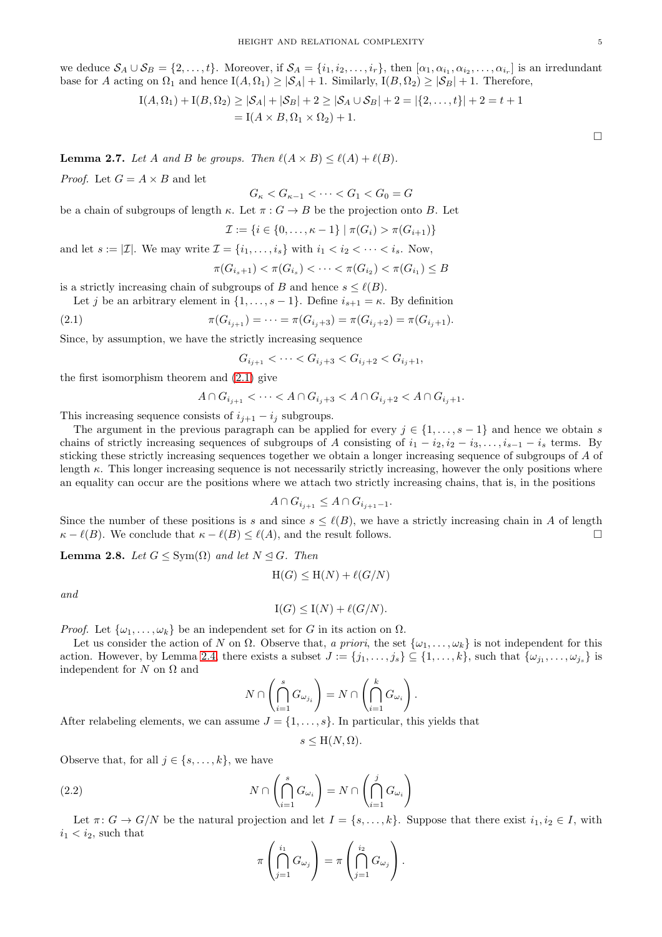we deduce  $S_A \cup S_B = \{2, \ldots, t\}$ . Moreover, if  $S_A = \{i_1, i_2, \ldots, i_r\}$ , then  $[\alpha_1, \alpha_{i_1}, \alpha_{i_2}, \ldots, \alpha_{i_r}]$  is an irredundant base for A acting on  $\Omega_1$  and hence  $I(A, \Omega_1) \geq |\mathcal{S}_A| + 1$ . Similarly,  $I(B, \Omega_2) \geq |\mathcal{S}_B| + 1$ . Therefore,

$$
I(A, \Omega_1) + I(B, \Omega_2) \ge |\mathcal{S}_A| + |\mathcal{S}_B| + 2 \ge |\mathcal{S}_A \cup \mathcal{S}_B| + 2 = |\{2, ..., t\}| + 2 = t + 1
$$
  
=  $I(A \times B, \Omega_1 \times \Omega_2) + 1$ .

<span id="page-4-2"></span>**Lemma 2.7.** Let A and B be groups. Then  $\ell(A \times B) \leq \ell(A) + \ell(B)$ .

*Proof.* Let  $G = A \times B$  and let

 $G_{\kappa} < G_{\kappa-1} < \cdots < G_1 < G_0 = G$ 

be a chain of subgroups of length  $\kappa$ . Let  $\pi : G \to B$  be the projection onto B. Let  $\tau$ .  $1! = (C) \cdot (-C)$ 

$$
L := \{i \in \{0, \ldots, \kappa - 1\} \mid \pi(G_i) > \pi(G_{i+1})\}
$$

and let  $s := |\mathcal{I}|$ . We may write  $\mathcal{I} = \{i_1, \ldots, i_s\}$  with  $i_1 < i_2 < \cdots < i_s$ . Now,

$$
\pi(G_{i_s+1}) < \pi(G_{i_s}) < \cdots < \pi(G_{i_2}) < \pi(G_{i_1}) \leq B
$$

is a strictly increasing chain of subgroups of B and hence  $s \leq \ell(B)$ .

Let j be an arbitrary element in  $\{1, \ldots, s-1\}$ . Define  $i_{s+1} = \kappa$ . By definition

(2.1) 
$$
\pi(G_{i_{j+1}}) = \cdots = \pi(G_{i_j+3}) = \pi(G_{i_j+2}) = \pi(G_{i_j+1}).
$$

Since, by assumption, we have the strictly increasing sequence

<span id="page-4-0"></span>
$$
G_{i_{j+1}} < \cdots < G_{i_j+3} < G_{i_j+2} < G_{i_j+1},
$$

the first isomorphism theorem and [\(2.1\)](#page-4-0) give

$$
A \cap G_{i_{j+1}} < \cdots < A \cap G_{i_j+3} < A \cap G_{i_j+2} < A \cap G_{i_j+1}.
$$

This increasing sequence consists of  $i_{j+1} - i_j$  subgroups.

The argument in the previous paragraph can be applied for every  $j \in \{1, \ldots, s-1\}$  and hence we obtain s chains of strictly increasing sequences of subgroups of A consisting of  $i_1 - i_2, i_2 - i_3, \ldots, i_{s-1} - i_s$  terms. By sticking these strictly increasing sequences together we obtain a longer increasing sequence of subgroups of A of length  $\kappa$ . This longer increasing sequence is not necessarily strictly increasing, however the only positions where an equality can occur are the positions where we attach two strictly increasing chains, that is, in the positions

$$
A \cap G_{i_{j+1}} \leq A \cap G_{i_{j+1}-1}.
$$

Since the number of these positions is s and since  $s \leq \ell(B)$ , we have a strictly increasing chain in A of length  $\kappa - \ell(B)$ . We conclude that  $\kappa - \ell(B) \leq \ell(A)$ , and the result follows.  $\kappa - \ell(B)$ . We conclude that  $\kappa - \ell(B) \leq \ell(A)$ , and the result follows.

<span id="page-4-3"></span>**Lemma 2.8.** *Let*  $G \leq \text{Sym}(\Omega)$  *and let*  $N \leq G$ *. Then* 

$$
H(G) \le H(N) + \ell(G/N)
$$

*and*

$$
I(G) \leq I(N) + \ell(G/N).
$$

*Proof.* Let  $\{\omega_1, \ldots, \omega_k\}$  be an independent set for G in its action on  $\Omega$ .

Let us consider the action of N on  $\Omega$ . Observe that, *a priori*, the set  $\{\omega_1, \ldots, \omega_k\}$  is not independent for this action. However, by Lemma [2.4,](#page-3-0) there exists a subset  $J := \{j_1, \ldots, j_s\} \subseteq \{1, \ldots, k\}$ , such that  $\{\omega_{j_1}, \ldots, \omega_{j_s}\}$  is independent for  $N$  on  $\Omega$  and

$$
N \cap \left(\bigcap_{i=1}^s G_{\omega_{j_i}}\right) = N \cap \left(\bigcap_{i=1}^k G_{\omega_i}\right).
$$

After relabeling elements, we can assume  $J = \{1, \ldots, s\}$ . In particular, this yields that

 $s \leq H(N, \Omega)$ .

Observe that, for all  $j \in \{s, \ldots, k\}$ , we have

(2.2) 
$$
N \cap \left(\bigcap_{i=1}^{s} G_{\omega_i}\right) = N \cap \left(\bigcap_{i=1}^{j} G_{\omega_i}\right)
$$

Let  $\pi: G \to G/N$  be the natural projection and let  $I = \{s, \ldots, k\}$ . Suppose that there exist  $i_1, i_2 \in I$ , with  $i_1 < i_2$ , such that  $\sim$ 

<span id="page-4-1"></span>
$$
\pi\left(\bigcap_{j=1}^{i_1} G_{\omega_j}\right) = \pi\left(\bigcap_{j=1}^{i_2} G_{\omega_j}\right).
$$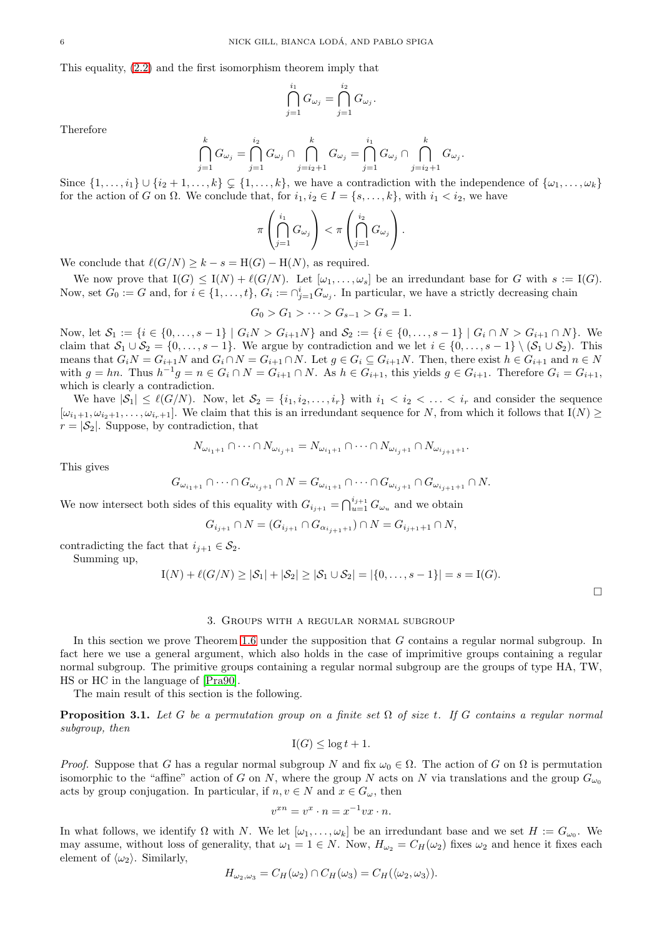This equality, [\(2.2\)](#page-4-1) and the first isomorphism theorem imply that

$$
\bigcap_{j=1}^{i_1} G_{\omega_j} = \bigcap_{j=1}^{i_2} G_{\omega_j}.
$$

Therefore

$$
\bigcap_{j=1}^{k} G_{\omega_j} = \bigcap_{j=1}^{i_2} G_{\omega_j} \cap \bigcap_{j=i_2+1}^{k} G_{\omega_j} = \bigcap_{j=1}^{i_1} G_{\omega_j} \cap \bigcap_{j=i_2+1}^{k} G_{\omega_j}.
$$

Since  $\{1,\ldots,i_1\} \cup \{i_2+1,\ldots,k\} \subseteq \{1,\ldots,k\}$ , we have a contradiction with the independence of  $\{\omega_1,\ldots,\omega_k\}$ for the action of G on  $\Omega$ . We conclude that, for  $i_1, i_2 \in I = \{s, \ldots, k\}$ , with  $i_1 < i_2$ , we have

$$
\pi\left(\bigcap_{j=1}^{i_1} G_{\omega_j}\right) < \pi\left(\bigcap_{j=1}^{i_2} G_{\omega_j}\right).
$$

We conclude that  $\ell(G/N) \geq k - s = H(G) - H(N)$ , as required.

We now prove that  $I(G) \leq I(N) + \ell(G/N)$ . Let  $[\omega_1, \ldots, \omega_s]$  be an irredundant base for G with  $s := I(G)$ . Now, set  $G_0 := G$  and, for  $i \in \{1, ..., t\}$ ,  $G_i := \bigcap_{j=1}^i G_{\omega_j}$ . In particular, we have a strictly decreasing chain

$$
G_0 > G_1 > \cdots > G_{s-1} > G_s = 1.
$$

Now, let  $S_1 := \{i \in \{0, ..., s-1\} \mid G_iN > G_{i+1}N\}$  and  $S_2 := \{i \in \{0, ..., s-1\} \mid G_i \cap N > G_{i+1} \cap N\}$ . We claim that  $S_1 \cup S_2 = \{0, \ldots, s-1\}$ . We argue by contradiction and we let  $i \in \{0, \ldots, s-1\} \setminus (S_1 \cup S_2)$ . This means that  $G_iN = G_{i+1}N$  and  $G_i \cap N = G_{i+1} \cap N$ . Let  $g \in G_i \subseteq G_{i+1}N$ . Then, there exist  $h \in G_{i+1}$  and  $n \in N$ with  $g = hn$ . Thus  $h^{-1}g = n \in G_i \cap N = G_{i+1} \cap N$ . As  $h \in G_{i+1}$ , this yields  $g \in G_{i+1}$ . Therefore  $G_i = G_{i+1}$ , which is clearly a contradiction.

We have  $|S_1| \leq \ell(G/N)$ . Now, let  $S_2 = \{i_1, i_2, \ldots, i_r\}$  with  $i_1 < i_2 < \ldots < i_r$  and consider the sequence  $[\omega_{i_1+1}, \omega_{i_2+1}, \ldots, \omega_{i_r+1}]$ . We claim that this is an irredundant sequence for N, from which it follows that  $I(N) \geq$  $r = |\mathcal{S}_2|$ . Suppose, by contradiction, that

$$
N_{\omega_{i_1+1}} \cap \cdots \cap N_{\omega_{i_j+1}} = N_{\omega_{i_1+1}} \cap \cdots \cap N_{\omega_{i_j+1}} \cap N_{\omega_{i_j+1}+1}.
$$

This gives

$$
G_{\omega_{i_1+1}} \cap \cdots \cap G_{\omega_{i_j+1}} \cap N = G_{\omega_{i_1+1}} \cap \cdots \cap G_{\omega_{i_j+1}} \cap G_{\omega_{i_j+1}+1} \cap N.
$$

We now intersect both sides of this equality with  $G_{i_{j+1}} = \bigcap_{u=1}^{i_{j+1}} G_{\omega_u}$  and we obtain

$$
G_{i_{j+1}} \cap N = (G_{i_{j+1}} \cap G_{\alpha_{i_{j+1}+1}}) \cap N = G_{i_{j+1}+1} \cap N,
$$

contradicting the fact that  $i_{i+1} \in \mathcal{S}_2$ .

Summing up,

$$
I(N) + \ell(G/N) \geq |\mathcal{S}_1| + |\mathcal{S}_2| \geq |\mathcal{S}_1 \cup \mathcal{S}_2| = |\{0, \ldots, s-1\}| = s = I(G).
$$

 $\Box$ 

#### 3. Groups with a regular normal subgroup

<span id="page-5-0"></span>In this section we prove Theorem [1.6](#page-1-4) under the supposition that G contains a regular normal subgroup. In fact here we use a general argument, which also holds in the case of imprimitive groups containing a regular normal subgroup. The primitive groups containing a regular normal subgroup are the groups of type HA, TW, HS or HC in the language of [\[Pra90\]](#page-25-6).

The main result of this section is the following.

<span id="page-5-1"></span>Proposition 3.1. *Let* G *be a permutation group on a finite set* Ω *of size* t*. If* G *contains a regular normal subgroup, then*

$$
I(G) \le \log t + 1.
$$

*Proof.* Suppose that G has a regular normal subgroup N and fix  $\omega_0 \in \Omega$ . The action of G on  $\Omega$  is permutation isomorphic to the "affine" action of G on N, where the group N acts on N via translations and the group  $G_{\omega_0}$ acts by group conjugation. In particular, if  $n, v \in N$  and  $x \in G_{\omega}$ , then

$$
v^{xn} = v^x \cdot n = x^{-1}vx \cdot n.
$$

In what follows, we identify  $\Omega$  with N. We let  $[\omega_1,\ldots,\omega_k]$  be an irredundant base and we set  $H := G_{\omega_0}$ . We may assume, without loss of generality, that  $\omega_1 = 1 \in N$ . Now,  $H_{\omega_2} = C_H(\omega_2)$  fixes  $\omega_2$  and hence it fixes each element of  $\langle \omega_2 \rangle$ . Similarly,

$$
H_{\omega_2,\omega_3}=C_H(\omega_2)\cap C_H(\omega_3)=C_H(\langle \omega_2,\omega_3\rangle).
$$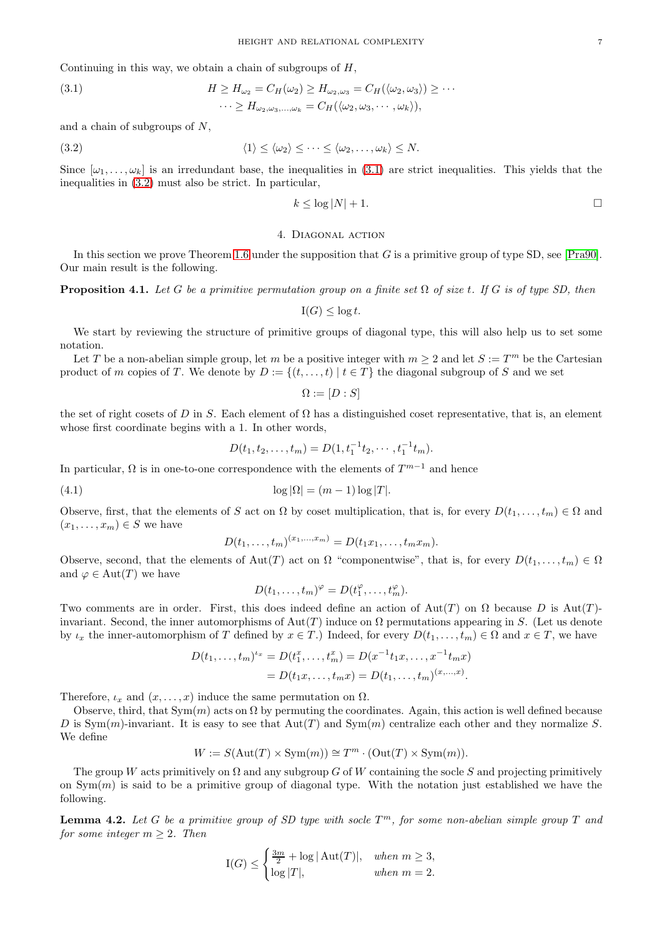Continuing in this way, we obtain a chain of subgroups of  $H$ ,

<span id="page-6-1"></span>(3.1) 
$$
H \ge H_{\omega_2} = C_H(\omega_2) \ge H_{\omega_2, \omega_3} = C_H(\langle \omega_2, \omega_3 \rangle) \ge \cdots
$$

$$
\cdots \ge H_{\omega_2, \omega_3, \dots, \omega_k} = C_H(\langle \omega_2, \omega_3, \dots, \omega_k \rangle),
$$

and a chain of subgroups of N,

<span id="page-6-2"></span>(3.2) 
$$
\langle 1 \rangle \leq \langle \omega_2 \rangle \leq \cdots \leq \langle \omega_2, \ldots, \omega_k \rangle \leq N.
$$

Since  $[\omega_1, \ldots, \omega_k]$  is an irredundant base, the inequalities in [\(3.1\)](#page-6-1) are strict inequalities. This yields that the inequalities in [\(3.2\)](#page-6-2) must also be strict. In particular,

$$
k \leq \log |N| + 1.
$$

# 4. Diagonal action

<span id="page-6-0"></span>In this section we prove Theorem [1.6](#page-1-4) under the supposition that G is a primitive group of type SD, see [\[Pra90\]](#page-25-6). Our main result is the following.

<span id="page-6-3"></span>Proposition 4.1. *Let* G *be a primitive permutation group on a finite set* Ω *of size* t*. If* G *is of type SD, then*

$$
I(G) \le \log t.
$$

We start by reviewing the structure of primitive groups of diagonal type, this will also help us to set some notation.

Let T be a non-abelian simple group, let m be a positive integer with  $m \geq 2$  and let  $S := T^m$  be the Cartesian product of m copies of T. We denote by  $D := \{(t, \ldots, t) | t \in T\}$  the diagonal subgroup of S and we set

$$
\Omega := [D : S]
$$

the set of right cosets of D in S. Each element of  $\Omega$  has a distinguished coset representative, that is, an element whose first coordinate begins with a 1. In other words,

<span id="page-6-5"></span>
$$
D(t_1, t_2, \ldots, t_m) = D(1, t_1^{-1}t_2, \cdots, t_1^{-1}t_m).
$$

In particular,  $\Omega$  is in one-to-one correspondence with the elements of  $T^{m-1}$  and hence

(4.1) 
$$
\log |\Omega| = (m-1) \log |T|.
$$

Observe, first, that the elements of S act on  $\Omega$  by coset multiplication, that is, for every  $D(t_1, \ldots, t_m) \in \Omega$  and  $(x_1, \ldots, x_m) \in S$  we have

$$
D(t_1, \ldots, t_m)^{(x_1, \ldots, x_m)} = D(t_1 x_1, \ldots, t_m x_m).
$$

Observe, second, that the elements of Aut(T) act on  $\Omega$  "componentwise", that is, for every  $D(t_1, \ldots, t_m) \in \Omega$ and  $\varphi \in \text{Aut}(T)$  we have

$$
D(t_1,\ldots,t_m)^{\varphi}=D(t_1^{\varphi},\ldots,t_m^{\varphi}).
$$

Two comments are in order. First, this does indeed define an action of  $Aut(T)$  on  $\Omega$  because D is  $Aut(T)$ invariant. Second, the inner automorphisms of  $Aut(T)$  induce on  $\Omega$  permutations appearing in S. (Let us denote by  $\iota_x$  the inner-automorphism of T defined by  $x \in T$ .) Indeed, for every  $D(t_1, \ldots, t_m) \in \Omega$  and  $x \in T$ , we have

$$
D(t_1, ..., t_m)^{t_x} = D(t_1^x, ..., t_m^x) = D(x^{-1}t_1x, ..., x^{-1}t_mx)
$$
  
=  $D(t_1x, ..., t_mx) = D(t_1, ..., t_m)^{(x, ..., x)}$ .

Therefore,  $\iota_x$  and  $(x, \ldots, x)$  induce the same permutation on  $\Omega$ .

Observe, third, that  $Sym(m)$  acts on  $\Omega$  by permuting the coordinates. Again, this action is well defined because D is Sym(m)-invariant. It is easy to see that  $Aut(T)$  and  $Sym(m)$  centralize each other and they normalize S. We define

$$
W:=S(\operatorname{Aut}(T)\times \operatorname{Sym}(m))\cong T^m\cdot (\operatorname{Out}(T)\times \operatorname{Sym}(m)).
$$

The group W acts primitively on  $\Omega$  and any subgroup G of W containing the socle S and projecting primitively on  $Sym(m)$  is said to be a primitive group of diagonal type. With the notation just established we have the following.

<span id="page-6-4"></span>Lemma 4.2. *Let* G *be a primitive group of SD type with socle* T <sup>m</sup>*, for some non-abelian simple group* T *and for some integer*  $m > 2$ *. Then* 

$$
I(G) \le \begin{cases} \frac{3m}{2} + \log |\operatorname{Aut}(T)|, & when \ m \ge 3, \\ \log |T|, & when \ m = 2. \end{cases}
$$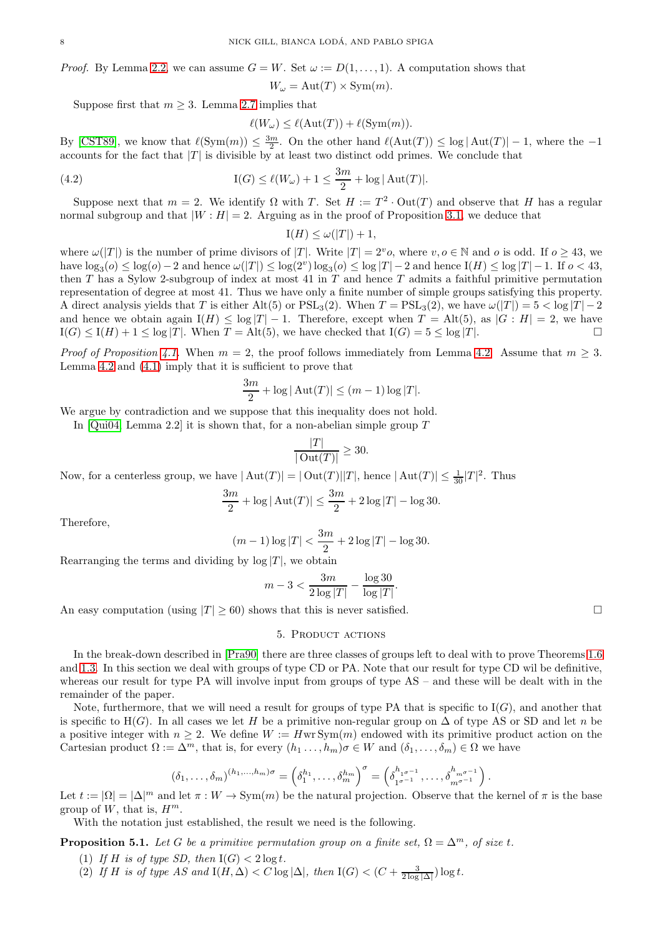*Proof.* By Lemma [2.2,](#page-3-2) we can assume  $G = W$ . Set  $\omega := D(1, \ldots, 1)$ . A computation shows that

$$
W_{\omega} = \text{Aut}(T) \times \text{Sym}(m).
$$

Suppose first that  $m \geq 3$ . Lemma [2.7](#page-4-2) implies that

$$
\ell(W_{\omega}) \leq \ell(\operatorname{Aut}(T)) + \ell(\operatorname{Sym}(m)).
$$

By [\[CST89\]](#page-25-7), we know that  $\ell(\text{Sym}(m)) \leq \frac{3m}{2}$ . On the other hand  $\ell(\text{Aut}(T)) \leq \log |\text{Aut}(T)| - 1$ , where the -1 accounts for the fact that  $|T|$  is divisible by at least two distinct odd primes. We conclude that

(4.2) 
$$
I(G) \le \ell(W_{\omega}) + 1 \le \frac{3m}{2} + \log |\text{Aut}(T)|.
$$

Suppose next that  $m = 2$ . We identify  $\Omega$  with T. Set  $H := T^2 \cdot Out(T)$  and observe that H has a regular normal subgroup and that  $|W : H| = 2$ . Arguing as in the proof of Proposition [3.1,](#page-5-1) we deduce that

$$
I(H) \le \omega(|T|) + 1,
$$

where  $\omega(|T|)$  is the number of prime divisors of |T|. Write  $|T| = 2^{\nu}o$ , where  $v, o \in \mathbb{N}$  and o is odd. If  $o \geq 43$ , we have  $\log_3(\rho) \leq \log(\rho) - 2$  and hence  $\omega(|T|) \leq \log(2^v) \log_3(\rho) \leq \log |T| - 2$  and hence  $I(H) \leq \log |T| - 1$ . If  $\sigma < 43$ , then  $T$  has a Sylow 2-subgroup of index at most 41 in  $T$  and hence  $T$  admits a faithful primitive permutation representation of degree at most 41. Thus we have only a finite number of simple groups satisfying this property. A direct analysis yields that T is either Alt(5) or  $PSL_3(2)$ . When  $T = \text{PSL}_3(2)$ , we have  $\omega(|T|) = 5 < \log |T| - 2$ and hence we obtain again  $I(H) \leq \log |T| - 1$ . Therefore, except when  $T = \text{Alt}(5)$ , as  $|G : H| = 2$ , we have  $I(G) \leq I(H) + 1 \leq \log |T|$ . When  $T = \text{Alt}(5)$ , we have checked that  $I(G) = 5 \leq \log |T|$  $I(G) \leq I(H) + 1 \leq \log |T|$ . When  $T = \text{Alt}(5)$ , we have checked that  $I(G) = 5 \leq \log |T|$ .

*Proof of Proposition* [4.1.](#page-6-3) When  $m = 2$ , the proof follows immediately from Lemma [4.2.](#page-6-4) Assume that  $m > 3$ . Lemma [4.2](#page-6-4) and [\(4.1\)](#page-6-5) imply that it is sufficient to prove that

$$
\frac{3m}{2} + \log |\operatorname{Aut}(T)| \le (m-1)\log |T|.
$$

We argue by contradiction and we suppose that this inequality does not hold.

In [\[Qui04,](#page-25-8) Lemma 2.2] it is shown that, for a non-abelian simple group  $T$ 

$$
\frac{|T|}{|\operatorname{Out}(T)|} \ge 30.
$$

Now, for a centerless group, we have  $|\text{Aut}(T)| = |\text{Out}(T)||T|$ , hence  $|\text{Aut}(T)| \leq \frac{1}{30}|T|^2$ . Thus

$$
\frac{3m}{2} + \log |\operatorname{Aut}(T)| \le \frac{3m}{2} + 2\log |T| - \log 30.
$$

Therefore,

$$
(m-1)\log |T| < \frac{3m}{2} + 2\log |T| - \log 30.
$$

Rearranging the terms and dividing by  $log |T|$ , we obtain

$$
m - 3 < \frac{3m}{2\log|T|} - \frac{\log 30}{\log|T|}.
$$

<span id="page-7-0"></span>An easy computation (using  $|T| \ge 60$ ) shows that this is never satisfied.

### 5. PRODUCT ACTIONS

In the break-down described in [\[Pra90\]](#page-25-6) there are three classes of groups left to deal with to prove Theorems [1.6](#page-1-4) and [1.3.](#page-1-3) In this section we deal with groups of type CD or PA. Note that our result for type CD wil be definitive, whereas our result for type PA will involve input from groups of type AS – and these will be dealt with in the remainder of the paper.

Note, furthermore, that we will need a result for groups of type PA that is specific to  $I(G)$ , and another that is specific to H(G). In all cases we let H be a primitive non-regular group on  $\Delta$  of type AS or SD and let n be a positive integer with  $n \geq 2$ . We define  $W := HwrSym(m)$  endowed with its primitive product action on the Cartesian product  $\Omega := \Delta^m$ , that is, for every  $(h_1, \ldots, h_m) \sigma \in W$  and  $(\delta_1, \ldots, \delta_m) \in \Omega$  we have

$$
(\delta_1, \ldots, \delta_m)^{(h_1, \ldots, h_m)\sigma} = \left(\delta_1^{h_1}, \ldots, \delta_m^{h_m}\right)^{\sigma} = \left(\delta_{1^{\sigma^{-1}}}^{h_{1^{\sigma^{-1}}}}, \ldots, \delta_{m^{\sigma^{-1}}}^{h_{m^{\sigma^{-1}}}}\right).
$$

Let  $t := |\Omega| = |\Delta|^m$  and let  $\pi : W \to \text{Sym}(m)$  be the natural projection. Observe that the kernel of  $\pi$  is the base group of  $W$ , that is,  $H^m$ .

With the notation just established, the result we need is the following.

<span id="page-7-2"></span><span id="page-7-1"></span>**Proposition 5.1.** Let G be a primitive permutation group on a finite set,  $\Omega = \Delta^m$ , of size t.

- (1) If H is of type SD, then  $I(G) < 2 \log t$ .
- (2) If H is of type AS and  $I(H, \Delta) < C \log |\Delta|$ , then  $I(G) < (C + \frac{3}{2 \log |\Delta|}) \log t$ .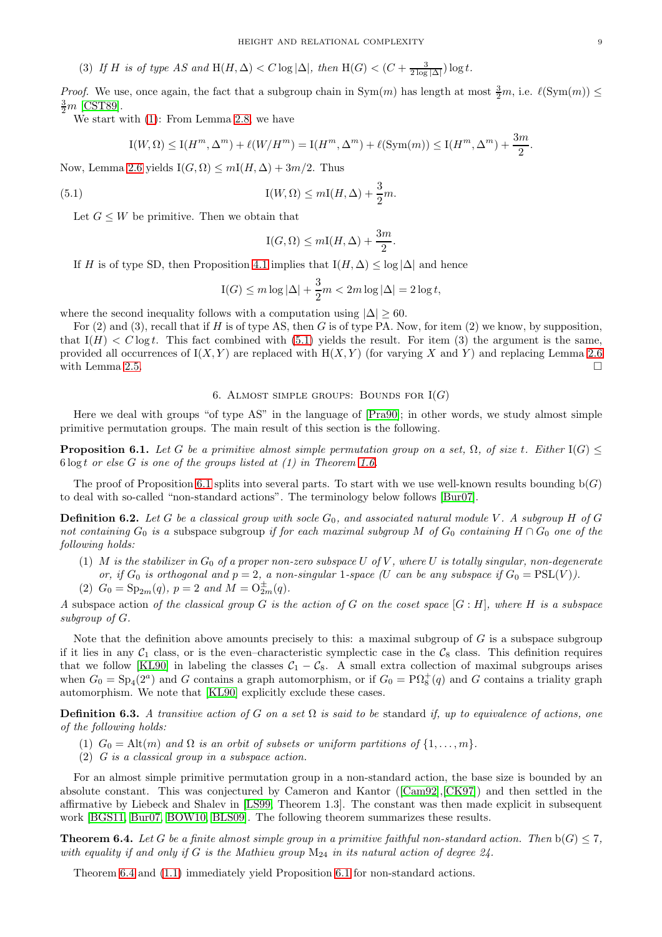(3) If H is of type AS and  $H(H, \Delta) < C \log |\Delta|$ , then  $H(G) < (C + \frac{3}{2 \log |\Delta|}) \log t$ .

*Proof.* We use, once again, the fact that a subgroup chain in  $Sym(m)$  has length at most  $\frac{3}{2}m$ , i.e.  $\ell(Sym(m)) \le$  $\frac{3}{2}m$  [\[CST89\]](#page-25-7).

We start with [\(1\)](#page-7-1): From Lemma [2.8,](#page-4-3) we have

$$
\mathrm{I}(W,\Omega) \le \mathrm{I}(H^m,\Delta^m) + \ell(W/H^m) = \mathrm{I}(H^m,\Delta^m) + \ell(\mathrm{Sym}(m)) \le \mathrm{I}(H^m,\Delta^m) + \frac{3m}{2}.
$$

Now, Lemma [2.6](#page-3-3) yields  $I(G, \Omega) \leq mI(H, \Delta) + 3m/2$ . Thus

(5.1) 
$$
I(W, \Omega) \leq mI(H, \Delta) + \frac{3}{2}m.
$$

Let  $G \leq W$  be primitive. Then we obtain that

<span id="page-8-1"></span>
$$
I(G, \Omega) \le mI(H, \Delta) + \frac{3m}{2}.
$$

If H is of type SD, then Proposition [4.1](#page-6-3) implies that  $I(H, \Delta) \leq \log |\Delta|$  and hence

$$
I(G) \le m \log |\Delta| + \frac{3}{2}m < 2m \log |\Delta| = 2 \log t,
$$

where the second inequality follows with a computation using  $|\Delta| \geq 60$ .

For  $(2)$  and  $(3)$ , recall that if H is of type AS, then G is of type PA. Now, for item  $(2)$  we know, by supposition, that  $I(H) < C \log t$ . This fact combined with [\(5.1\)](#page-8-1) yields the result. For item (3) the argument is the same, provided all occurrences of  $I(X, Y)$  are replaced with  $H(X, Y)$  (for varying X and Y) and replacing Lemma [2.6](#page-3-3) with Lemma [2.5.](#page-3-4)  $\Box$ 

# 6. ALMOST SIMPLE GROUPS: BOUNDS FOR  $I(G)$

<span id="page-8-0"></span>Here we deal with groups "of type AS" in the language of [\[Pra90\]](#page-25-6); in other words, we study almost simple primitive permutation groups. The main result of this section is the following.

<span id="page-8-2"></span>**Proposition 6.1.** *Let* G *be a primitive almost simple permutation group on a set,*  $\Omega$ *, of size t. Either* I(G)  $\leq$ 6 log t *or else* G *is one of the groups listed at (1) in Theorem [1.6.](#page-1-4)*

The proof of Proposition [6.1](#page-8-2) splits into several parts. To start with we use well-known results bounding  $b(G)$ to deal with so-called "non-standard actions". The terminology below follows [\[Bur07\]](#page-25-9).

<span id="page-8-4"></span>**Definition 6.2.** Let G be a classical group with socle  $G_0$ , and associated natural module V. A subgroup H of G *not containing*  $G_0$  *is a* subspace subgroup *if for each maximal subgroup* M of  $G_0$  *containing*  $H \cap G_0$  *one of the following holds:*

- (1) M *is the stabilizer in*  $G_0$  *of a proper non-zero subspace* U *of* V, where U *is totally singular, non-degenerate or, if*  $G_0$  *is orthogonal and*  $p = 2$ *, a non-singular* 1*-space (U can be any subspace if*  $G_0 = PSL(V)$ *).*
- (2)  $G_0 = \text{Sp}_{2m}(q)$ ,  $p = 2$  and  $M = \text{O}_{2m}^{\pm}(q)$ .

*A* subspace action *of the classical group* G *is the action of* G *on the coset space* [G : H]*, where* H *is a subspace subgroup of* G*.*

Note that the definition above amounts precisely to this: a maximal subgroup of  $G$  is a subspace subgroup if it lies in any  $C_1$  class, or is the even–characteristic symplectic case in the  $C_8$  class. This definition requires that we follow [\[KL90\]](#page-25-10) in labeling the classes  $C_1 - C_8$ . A small extra collection of maximal subgroups arises when  $G_0 = Sp_4(2^a)$  and G contains a graph automorphism, or if  $G_0 = \mathrm{P}\Omega_8^+(q)$  and G contains a triality graph automorphism. We note that [\[KL90\]](#page-25-10) explicitly exclude these cases.

Definition 6.3. *A transitive action of* G *on a set* Ω *is said to be* standard *if, up to equivalence of actions, one of the following holds:*

- (1)  $G_0 = \text{Alt}(m)$  and  $\Omega$  *is an orbit of subsets or uniform partitions of*  $\{1, \ldots, m\}$ .
- (2) *G is a classical group in a subspace action.*

For an almost simple primitive permutation group in a non-standard action, the base size is bounded by an absolute constant. This was conjectured by Cameron and Kantor ([\[Cam92\]](#page-25-11),[\[CK97\]](#page-25-12)) and then settled in the affirmative by Liebeck and Shalev in [\[LS99,](#page-25-13) Theorem 1.3]. The constant was then made explicit in subsequent work [\[BGS11,](#page-25-14) [Bur07,](#page-25-9) [BOW10,](#page-25-15) [BLS09\]](#page-25-16). The following theorem summarizes these results.

<span id="page-8-3"></span>**Theorem 6.4.** Let G be a finite almost simple group in a primitive faithful non-standard action. Then  $b(G) \leq 7$ , *with equality if and only if* G *is the Mathieu group* M<sup>24</sup> *in its natural action of degree 24.*

Theorem [6.4](#page-8-3) and [\(1.1\)](#page-1-0) immediately yield Proposition [6.1](#page-8-2) for non-standard actions.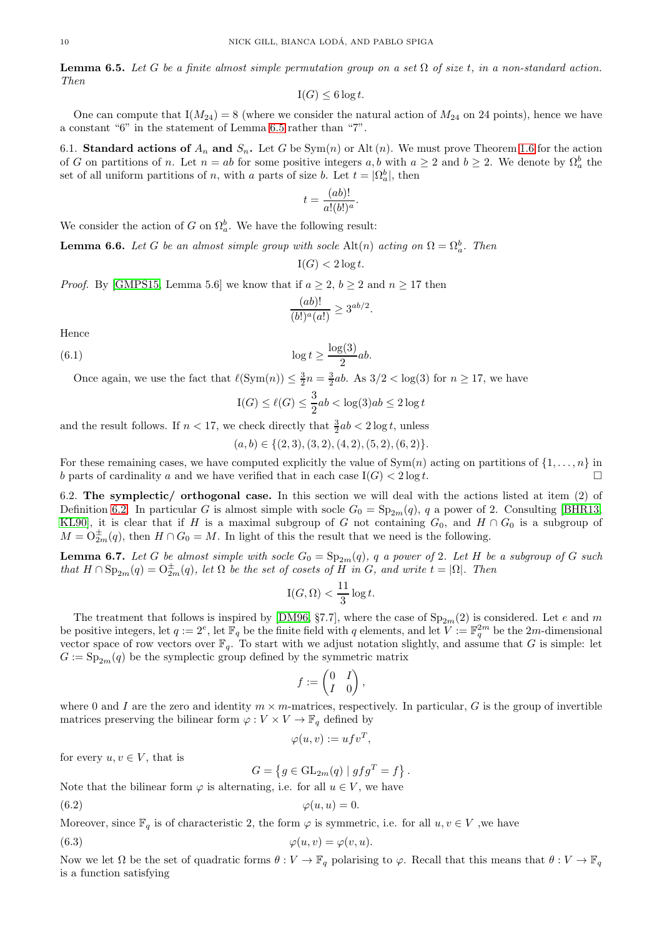<span id="page-9-0"></span>**Lemma 6.5.** Let G be a finite almost simple permutation group on a set  $\Omega$  of size t, in a non-standard action. *Then*

$$
\mathrm{I}(G) \le 6 \log t.
$$

One can compute that  $I(M_{24}) = 8$  (where we consider the natural action of  $M_{24}$  on 24 points), hence we have a constant "6" in the statement of Lemma [6.5](#page-9-0) rather than "7".

6.1. Standard actions of  $A_n$  and  $S_n$ . Let G be Sym(n) or Alt (n). We must prove Theorem [1.6](#page-1-4) for the action of G on partitions of n. Let  $n = ab$  for some positive integers a, b with  $a \geq 2$  and  $b \geq 2$ . We denote by  $\Omega_a^b$  the set of all uniform partitions of n, with a parts of size b. Let  $t = |\Omega_a^b|$ , then

$$
t = \frac{(ab)!}{a!(b!)^a}.
$$

We consider the action of G on  $\Omega_a^b$ . We have the following result:

<span id="page-9-4"></span>**Lemma 6.6.** Let G be an almost simple group with socle Alt $(n)$  acting on  $\Omega = \Omega_a^b$ . Then

 $I(G) < 2 \log t$ .

*Proof.* By [\[GMPS15,](#page-25-17) Lemma 5.6] we know that if  $a \geq 2$ ,  $b \geq 2$  and  $n \geq 17$  then

$$
\frac{(ab)!}{(b!)^a(a!)} \ge 3^{ab/2}
$$

.

Hence

(6.1) 
$$
\log t \ge \frac{\log(3)}{2}ab.
$$

Once again, we use the fact that  $\ell(\text{Sym}(n)) \leq \frac{3}{2}n = \frac{3}{2}ab$ . As  $3/2 < \log(3)$  for  $n \geq 17$ , we have

$$
\mathrm{I}(G) \le \ell(G) \le \frac{3}{2}ab < \log(3)ab \le 2\log t
$$

and the result follows. If  $n < 17$ , we check directly that  $\frac{3}{2}ab < 2 \log t$ , unless

$$
(a, b) \in \{(2, 3), (3, 2), (4, 2), (5, 2), (6, 2)\}.
$$

For these remaining cases, we have computed explicitly the value of  $Sym(n)$  acting on partitions of  $\{1, \ldots, n\}$  in b parts of cardinality a and we have verified that in each case  $I(G) < 2 \log t$ .

6.2. The symplectic/ orthogonal case. In this section we will deal with the actions listed at item (2) of Definition [6.2.](#page-8-4) In particular G is almost simple with socle  $G_0 = Sp_{2m}(q)$ , q a power of 2. Consulting [\[BHR13,](#page-25-18) [KL90\]](#page-25-10), it is clear that if H is a maximal subgroup of G not containing  $G_0$ , and  $H \cap G_0$  is a subgroup of  $M = O_{2m}^{\pm}(q)$ , then  $H \cap G_0 = M$ . In light of this the result that we need is the following.

<span id="page-9-3"></span>**Lemma 6.7.** Let G be almost simple with socle  $G_0 = \text{Sp}_{2m}(q)$ , q a power of 2. Let H be a subgroup of G such *that*  $H \cap \text{Sp}_{2m}(q) = O_{2m}^{\pm}(q)$ *, let*  $\Omega$  *be the set of cosets of*  $H$  *in*  $G$ *, and write*  $t = |\Omega|$ *. Then* 

$$
\mathrm{I}(G,\Omega) < \frac{11}{3}\log t.
$$

The treatment that follows is inspired by [\[DM96,](#page-25-19) §7.7], where the case of  $Sp_{2m}(2)$  is considered. Let e and m be positive integers, let  $q := 2^e$ , let  $\mathbb{F}_q$  be the finite field with q elements, and let  $V := \mathbb{F}_q^{2m}$  be the  $2m$ -dimensional vector space of row vectors over  $\mathbb{F}_q$ . To start with we adjust notation slightly, and assume that G is simple: let  $G := \mathrm{Sp}_{2m}(q)$  be the symplectic group defined by the symmetric matrix

$$
f:=\begin{pmatrix}0&I\\I&0\end{pmatrix},\quad
$$

where 0 and I are the zero and identity  $m \times m$ -matrices, respectively. In particular, G is the group of invertible matrices preserving the bilinear form  $\varphi: V \times V \to \mathbb{F}_q$  defined by

$$
\varphi(u,v) := u f v^T,
$$

for every  $u, v \in V$ , that is

<span id="page-9-2"></span><span id="page-9-1"></span>
$$
G = \left\{ g \in \mathrm{GL}_{2m}(q) \mid gfg^T = f \right\}.
$$

Note that the bilinear form  $\varphi$  is alternating, i.e. for all  $u \in V$ , we have

$$
(6.2) \qquad \qquad \varphi(u, u) = 0.
$$

Moreover, since  $\mathbb{F}_q$  is of characteristic 2, the form  $\varphi$  is symmetric, i.e. for all  $u, v \in V$  , we have

(6.3) 
$$
\varphi(u,v) = \varphi(v,u).
$$

Now we let  $\Omega$  be the set of quadratic forms  $\theta: V \to \mathbb{F}_q$  polarising to  $\varphi$ . Recall that this means that  $\theta: V \to \mathbb{F}_q$ is a function satisfying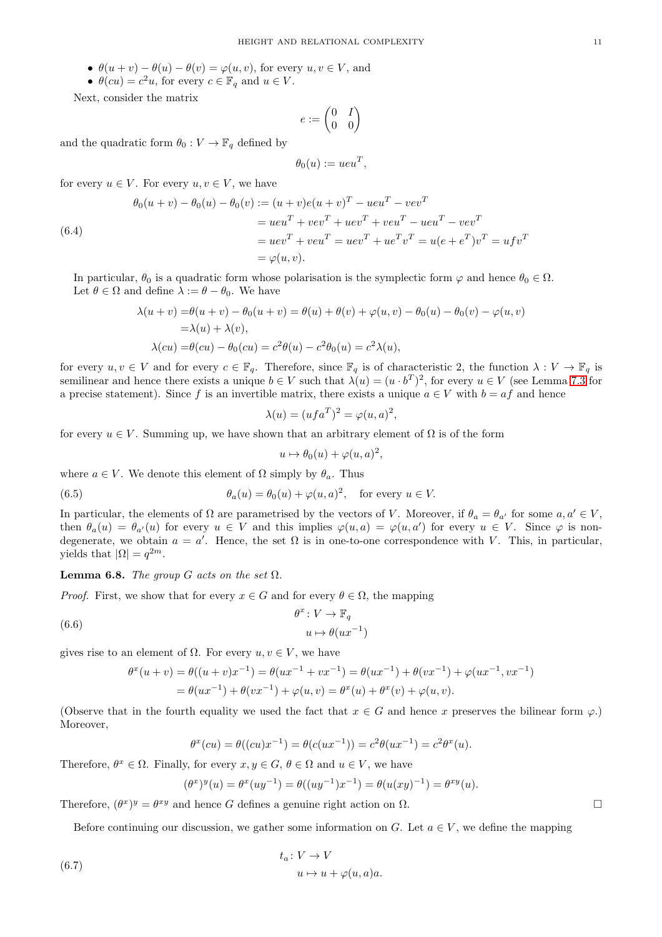- $\theta(u + v) \theta(u) \theta(v) = \varphi(u, v)$ , for every  $u, v \in V$ , and
- $\theta(cu) = c^2u$ , for every  $c \in \mathbb{F}_q$  and  $u \in V$ .

Next, consider the matrix

$$
e:=\begin{pmatrix}0&I\\0&0\end{pmatrix}
$$

and the quadratic form  $\theta_0 : V \to \mathbb{F}_q$  defined by

$$
\theta_0(u) := ueu^T,
$$

for every  $u \in V$ . For every  $u, v \in V$ , we have

<span id="page-10-3"></span>(6.4)  
\n
$$
\theta_0(u+v) - \theta_0(u) - \theta_0(v) := (u+v)e(u+v)^T - ueu^T - vev^T
$$
\n
$$
= ueu^T + vev^T + uev^T + veu^T - ueu^T - vev^T
$$
\n
$$
= uev^T + veu^T = uev^T + ue^Tv^T = u(e + e^T)v^T = ufv^T
$$
\n
$$
= \varphi(u,v).
$$

In particular,  $\theta_0$  is a quadratic form whose polarisation is the symplectic form  $\varphi$  and hence  $\theta_0 \in \Omega$ . Let  $\theta \in \Omega$  and define  $\lambda := \theta - \theta_0$ . We have

$$
\lambda(u + v) = \theta(u + v) - \theta_0(u + v) = \theta(u) + \theta(v) + \varphi(u, v) - \theta_0(u) - \theta_0(v) - \varphi(u, v)
$$
  
=  $\lambda(u) + \lambda(v),$   

$$
\lambda(cu) = \theta(cu) - \theta_0(cu) = c^2\theta(u) - c^2\theta_0(u) = c^2\lambda(u),
$$

for every  $u, v \in V$  and for every  $c \in \mathbb{F}_q$ . Therefore, since  $\mathbb{F}_q$  is of characteristic 2, the function  $\lambda : V \to \mathbb{F}_q$  is semilinear and hence there exists a unique  $b \in V$  such that  $\lambda(u) = (u \cdot b^T)^2$ , for every  $u \in V$  (see Lemma [7.3](#page-16-1) for a precise statement). Since f is an invertible matrix, there exists a unique  $a \in V$  with  $b = af$  and hence

$$
\lambda(u) = (ufa^T)^2 = \varphi(u, a)^2,
$$

for every  $u \in V$ . Summing up, we have shown that an arbitrary element of  $\Omega$  is of the form

<span id="page-10-2"></span>
$$
u \mapsto \theta_0(u) + \varphi(u, a)^2,
$$

where  $a \in V$ . We denote this element of  $\Omega$  simply by  $\theta_a$ . Thus

(6.5) 
$$
\theta_a(u) = \theta_0(u) + \varphi(u, a)^2, \text{ for every } u \in V.
$$

In particular, the elements of  $\Omega$  are parametrised by the vectors of V. Moreover, if  $\theta_a = \theta_{a'}$  for some  $a, a' \in V$ , then  $\theta_a(u) = \theta_{a'}(u)$  for every  $u \in V$  and this implies  $\varphi(u, a) = \varphi(u, a')$  for every  $u \in V$ . Since  $\varphi$  is nondegenerate, we obtain  $a = a'$ . Hence, the set  $\Omega$  is in one-to-one correspondence with V. This, in particular, yields that  $|\Omega| = q^{2m}$ .

**Lemma 6.8.** *The group* G *acts on the set*  $\Omega$ *.* 

*Proof.* First, we show that for every  $x \in G$  and for every  $\theta \in \Omega$ , the mapping

<span id="page-10-0"></span>(6.6) 
$$
\theta^x : V \to \mathbb{F}_q
$$

$$
u \mapsto \theta(ux^{-1})
$$

gives rise to an element of  $\Omega$ . For every  $u, v \in V$ , we have

$$
\theta^x(u+v) = \theta((u+v)x^{-1}) = \theta(ux^{-1} + vx^{-1}) = \theta(ux^{-1}) + \theta(vx^{-1}) + \varphi(ux^{-1}, vx^{-1})
$$
  
=  $\theta(ux^{-1}) + \theta(vx^{-1}) + \varphi(u, v) = \theta^x(u) + \theta^x(v) + \varphi(u, v).$ 

(Observe that in the fourth equality we used the fact that  $x \in G$  and hence x preserves the bilinear form  $\varphi$ .) Moreover,

$$
\theta^x(cu) = \theta((cu)x^{-1}) = \theta(c(ux^{-1})) = c^2\theta(ux^{-1}) = c^2\theta^x(u).
$$

Therefore,  $\theta^x \in \Omega$ . Finally, for every  $x, y \in G$ ,  $\theta \in \Omega$  and  $u \in V$ , we have

$$
(\theta^x)^y(u) = \theta^x(uy^{-1}) = \theta((uy^{-1})x^{-1}) = \theta(u(xy)^{-1}) = \theta^{xy}(u).
$$

Therefore,  $(\theta^x)^y = \theta^{xy}$  and hence G defines a genuine right action on  $\Omega$ .

Before continuing our discussion, we gather some information on G. Let  $a \in V$ , we define the mapping

<span id="page-10-1"></span>(6.7) 
$$
t_a: V \to V
$$

$$
u \mapsto u + \varphi(u, a)a.
$$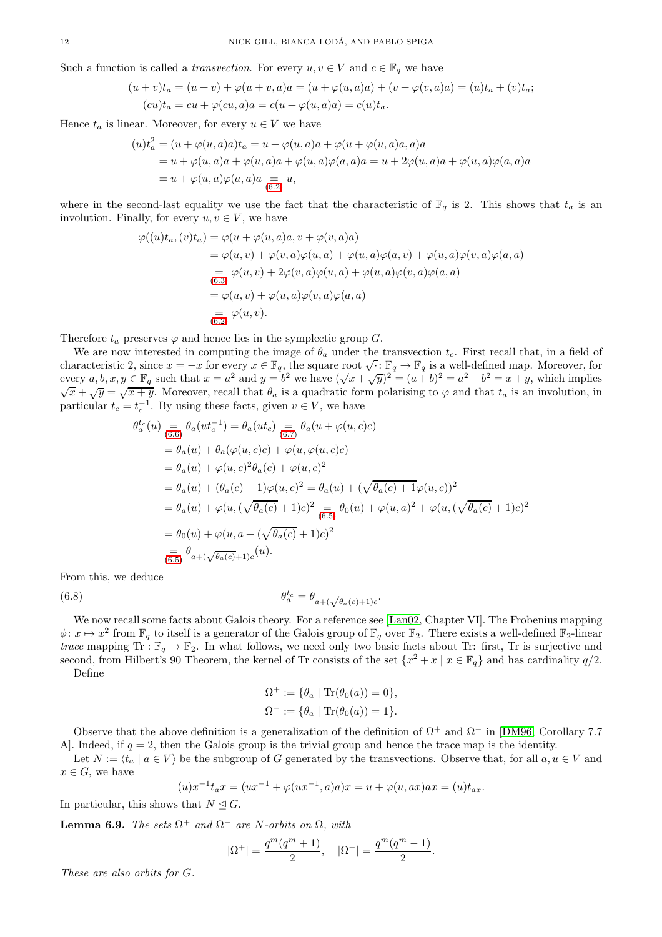Such a function is called a *transvection*. For every  $u, v \in V$  and  $c \in \mathbb{F}_q$  we have

$$
(u + v)t_a = (u + v) + \varphi(u + v, a)a = (u + \varphi(u, a)a) + (v + \varphi(v, a)a) = (u)t_a + (v)t_a;
$$
  

$$
(cu)t_a = cu + \varphi(cu, a)a = c(u + \varphi(u, a)a) = c(u)t_a.
$$

Hence  $t_a$  is linear. Moreover, for every  $u \in V$  we have

$$
(u)t_a^2 = (u + \varphi(u, a)a)t_a = u + \varphi(u, a)a + \varphi(u + \varphi(u, a)a, a)a
$$
  
=  $u + \varphi(u, a)a + \varphi(u, a)a + \varphi(u, a)\varphi(a, a)a = u + 2\varphi(u, a)a + \varphi(u, a)\varphi(a, a)a$   
=  $u + \varphi(u, a)\varphi(a, a)a = u,$ 

where in the second-last equality we use the fact that the characteristic of  $\mathbb{F}_q$  is 2. This shows that  $t_a$  is an involution. Finally, for every  $u, v \in V$ , we have

$$
\varphi((u)t_a, (v)t_a) = \varphi(u + \varphi(u, a)a, v + \varphi(v, a)a)
$$
  
\n
$$
= \varphi(u, v) + \varphi(v, a)\varphi(u, a) + \varphi(u, a)\varphi(a, v) + \varphi(u, a)\varphi(v, a)\varphi(a, a)
$$
  
\n
$$
= \varphi(u, v) + 2\varphi(v, a)\varphi(u, a) + \varphi(u, a)\varphi(v, a)\varphi(a, a)
$$
  
\n
$$
= \varphi(u, v) + \varphi(u, a)\varphi(v, a)\varphi(a, a)
$$
  
\n
$$
= \varphi(u, v).
$$

Therefore  $t_a$  preserves  $\varphi$  and hence lies in the symplectic group  $G$ .

We are now interested in computing the image of  $\theta_a$  under the transvection  $t_c$ . First recall that, in a field of characteristic 2, since  $x = -x$  for every  $x \in \mathbb{F}_q$ , the square root  $\sqrt{\cdot}$ :  $\mathbb{F}_q \to \mathbb{F}_q$  is a well-defined map. Moreover, for every  $a, b, x, y \in \mathbb{F}_q$  such that  $x = a^2$  and  $y = b^2$  we have  $(\sqrt{x} + \sqrt{y})^2 = (a + b)^2 = a^2 + b^2 = x + y$ , which implies  $\sqrt{x} + \sqrt{y} = \sqrt{x+y}$ . Moreover, recall that  $\theta_a$  is a quadratic form polarising to  $\varphi$  and that  $t_a$  is an involution, in particular  $t_c = t_c^{-1}$ . By using these facts, given  $v \in V$ , we have

$$
\theta_a^{t_c}(u) = \theta_a(ut_c^{-1}) = \theta_a(ut_c) = \theta_a(u + \varphi(u, c)c)
$$
  
\n
$$
= \theta_a(u) + \theta_a(\varphi(u, c)c) + \varphi(u, \varphi(u, c)c)
$$
  
\n
$$
= \theta_a(u) + \varphi(u, c)^2 \theta_a(c) + \varphi(u, c)^2
$$
  
\n
$$
= \theta_a(u) + (\theta_a(c) + 1)\varphi(u, c)^2 = \theta_a(u) + (\sqrt{\theta_a(c) + 1}\varphi(u, c))^2
$$
  
\n
$$
= \theta_a(u) + \varphi(u, (\sqrt{\theta_a(c) + 1})c)^2 = \theta_a(u) + \varphi(u, a)^2 + \varphi(u, (\sqrt{\theta_a(c) + 1})c)^2
$$
  
\n
$$
= \theta_0(u) + \varphi(u, a + (\sqrt{\theta_a(c) + 1})c)^2
$$
  
\n
$$
= \theta_a + (\sqrt{\theta_a(c) + 1})c^{(u)}.
$$

From this, we deduce

(6.8) 
$$
\theta_a^{t_c} = \theta_{a+(\sqrt{\theta_a(c)}+1)c}.
$$

We now recall some facts about Galois theory. For a reference see [\[Lan02,](#page-25-20) Chapter VI]. The Frobenius mapping  $\phi: x \mapsto x^2$  from  $\mathbb{F}_q$  to itself is a generator of the Galois group of  $\mathbb{F}_q$  over  $\mathbb{F}_2$ . There exists a well-defined  $\mathbb{F}_2$ -linear *trace* mapping Tr :  $\mathbb{F}_q \to \mathbb{F}_2$ . In what follows, we need only two basic facts about Tr: first, Tr is surjective and second, from Hilbert's 90 Theorem, the kernel of Tr consists of the set  $\{x^2 + x \mid x \in \mathbb{F}_q\}$  and has cardinality  $q/2$ . Define

<span id="page-11-0"></span> $\Omega^+ := \{ \theta_a \mid \text{Tr}(\theta_0(a)) = 0 \},$ 

$$
\Omega^- := \{ \theta_a \mid \text{Tr}(\theta_0(a)) = 1 \}.
$$

Observe that the above definition is a generalization of the definition of  $\Omega^+$  and  $\Omega^-$  in [\[DM96,](#page-25-19) Corollary 7.7 A]. Indeed, if  $q = 2$ , then the Galois group is the trivial group and hence the trace map is the identity.

Let  $N := \langle t_a | a \in V \rangle$  be the subgroup of G generated by the transvections. Observe that, for all  $a, u \in V$  and  $x \in G$ , we have

$$
(u)x^{-1}t_{a}x = (ux^{-1} + \varphi(ux^{-1}, a)a)x = u + \varphi(u, ax)ax = (u)t_{ax}.
$$

In particular, this shows that  $N \trianglelefteq G$ .

<span id="page-11-1"></span>**Lemma 6.9.** *The sets*  $\Omega^+$  *and*  $\Omega^-$  *are N*-*orbits on*  $\Omega$ *, with* 

$$
|\Omega^+|=\frac{q^m(q^m+1)}{2},\quad |\Omega^-|=\frac{q^m(q^m-1)}{2}.
$$

*These are also orbits for* G*.*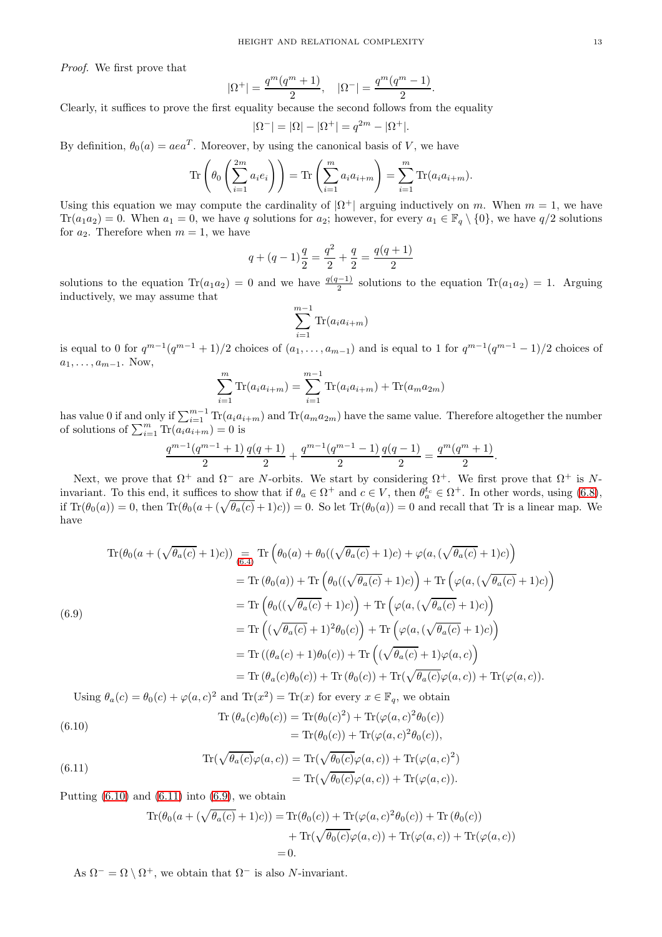*Proof.* We first prove that

$$
|\Omega^+| = \frac{q^m(q^m + 1)}{2}, \quad |\Omega^-| = \frac{q^m(q^m - 1)}{2}.
$$

Clearly, it suffices to prove the first equality because the second follows from the equality

$$
|\Omega^{-}| = |\Omega| - |\Omega^{+}| = q^{2m} - |\Omega^{+}|.
$$

By definition,  $\theta_0(a) = aea^T$ . Moreover, by using the canonical basis of V, we have

$$
\operatorname{Tr}\left(\theta_0\left(\sum_{i=1}^{2m} a_i e_i\right)\right) = \operatorname{Tr}\left(\sum_{i=1}^{m} a_i a_{i+m}\right) = \sum_{i=1}^{m} \operatorname{Tr}(a_i a_{i+m}).
$$

Using this equation we may compute the cardinality of  $|\Omega^+|$  arguing inductively on m. When  $m = 1$ , we have  $\text{Tr}(a_1a_2) = 0$ . When  $a_1 = 0$ , we have q solutions for  $a_2$ ; however, for every  $a_1 \in \mathbb{F}_q \setminus \{0\}$ , we have  $q/2$  solutions for  $a_2$ . Therefore when  $m = 1$ , we have

$$
q + (q - 1)\frac{q}{2} = \frac{q^2}{2} + \frac{q}{2} = \frac{q(q + 1)}{2}
$$

solutions to the equation  $\text{Tr}(a_1a_2) = 0$  and we have  $\frac{q(q-1)}{2}$  solutions to the equation  $\text{Tr}(a_1a_2) = 1$ . Arguing inductively, we may assume that

$$
\sum_{i=1}^{m-1} \text{Tr}(a_i a_{i+m})
$$

is equal to 0 for  $q^{m-1}(q^{m-1}+1)/2$  choices of  $(a_1, \ldots, a_{m-1})$  and is equal to 1 for  $q^{m-1}(q^{m-1}-1)/2$  choices of  $a_1, \ldots, a_{m-1}$ . Now,

$$
\sum_{i=1}^{m} \text{Tr}(a_i a_{i+m}) = \sum_{i=1}^{m-1} \text{Tr}(a_i a_{i+m}) + \text{Tr}(a_m a_{2m})
$$

has value 0 if and only if  $\sum_{i=1}^{m-1} \text{Tr}(a_i a_{i+m})$  and  $\text{Tr}(a_m a_{2m})$  have the same value. Therefore altogether the number of solutions of  $\sum_{i=1}^{m} \text{Tr}(a_i a_{i+m}) = 0$  is

$$
\frac{q^{m-1}(q^{m-1}+1)}{2}\frac{q(q+1)}{2}+\frac{q^{m-1}(q^{m-1}-1)}{2}\frac{q(q-1)}{2}=\frac{q^m(q^m+1)}{2}.
$$

Next, we prove that  $\Omega^+$  and  $\Omega^-$  are N-orbits. We start by considering  $\Omega^+$ . We first prove that  $\Omega^+$  is Ninvariant. To this end, it suffices to show that if  $\theta_a \in \Omega^+$  and  $c \in V$ , then  $\theta_a^{t_c} \in \Omega^+$ . In other words, using [\(6.8\)](#page-11-0), if  $\text{Tr}(\theta_0(a)) = 0$ , then  $\text{Tr}(\theta_0(a + (\sqrt{\theta_a(c)} + 1)c)) = 0$ . So let  $\text{Tr}(\theta_0(a)) = 0$  and recall that Tr is a linear map. We have

<span id="page-12-2"></span>
$$
\begin{split}\n\text{Tr}(\theta_{0}(a+(\sqrt{\theta_{a}(c)}+1)c)) &= \text{Tr}\left(\theta_{0}(a)+\theta_{0}((\sqrt{\theta_{a}(c)}+1)c)+\varphi(a,(\sqrt{\theta_{a}(c)}+1)c)\right) \\
&= \text{Tr}\left(\theta_{0}(a)\right)+\text{Tr}\left(\theta_{0}((\sqrt{\theta_{a}(c)}+1)c)\right)+\text{Tr}\left(\varphi(a,(\sqrt{\theta_{a}(c)}+1)c)\right) \\
&= \text{Tr}\left(\theta_{0}((\sqrt{\theta_{a}(c)}+1)c)\right)+\text{Tr}\left(\varphi(a,(\sqrt{\theta_{a}(c)}+1)c)\right) \\
&= \text{Tr}\left((\sqrt{\theta_{a}(c)}+1)^{2}\theta_{0}(c)\right)+\text{Tr}\left(\varphi(a,(\sqrt{\theta_{a}(c)}+1)c)\right) \\
&= \text{Tr}\left((\theta_{a}(c)+1)\theta_{0}(c)\right)+\text{Tr}\left((\sqrt{\theta_{a}(c)}+1)\varphi(a,c)\right) \\
&= \text{Tr}\left(\theta_{a}(c)\theta_{0}(c)\right)+\text{Tr}\left(\theta_{0}(c)\right)+\text{Tr}(\sqrt{\theta_{a}(c)}\varphi(a,c))+\text{Tr}(\varphi(a,c)).\n\end{split}
$$

Using  $\theta_a(c) = \theta_0(c) + \varphi(a, c)^2$  and  $\text{Tr}(x^2) = \text{Tr}(x)$  for every  $x \in \mathbb{F}_q$ , we obtain

<span id="page-12-0"></span>(6.10)  
\n
$$
\text{Tr}(\theta_a(c)\theta_0(c)) = \text{Tr}(\theta_0(c)^2) + \text{Tr}(\varphi(a,c)^2\theta_0(c))
$$
\n
$$
= \text{Tr}(\theta_0(c)) + \text{Tr}(\varphi(a,c)^2\theta_0(c)),
$$

<span id="page-12-1"></span>(6.11) 
$$
\text{Tr}(\sqrt{\theta_a(c)}\varphi(a,c)) = \text{Tr}(\sqrt{\theta_0(c)}\varphi(a,c)) + \text{Tr}(\varphi(a,c)^2)
$$

$$
= \text{Tr}(\sqrt{\theta_0(c)}\varphi(a,c)) + \text{Tr}(\varphi(a,c)).
$$

Putting  $(6.10)$  and  $(6.11)$  into  $(6.9)$ , we obtain

$$
\operatorname{Tr}(\theta_0(a + (\sqrt{\theta_a(c)} + 1)c)) = \operatorname{Tr}(\theta_0(c)) + \operatorname{Tr}(\varphi(a, c)^2 \theta_0(c)) + \operatorname{Tr}(\theta_0(c)) \n+ \operatorname{Tr}(\sqrt{\theta_0(c)}\varphi(a, c)) + \operatorname{Tr}(\varphi(a, c)) + \operatorname{Tr}(\varphi(a, c)) \n= 0.
$$

As  $\Omega^- = \Omega \setminus \Omega^+$ , we obtain that  $\Omega^-$  is also N-invariant.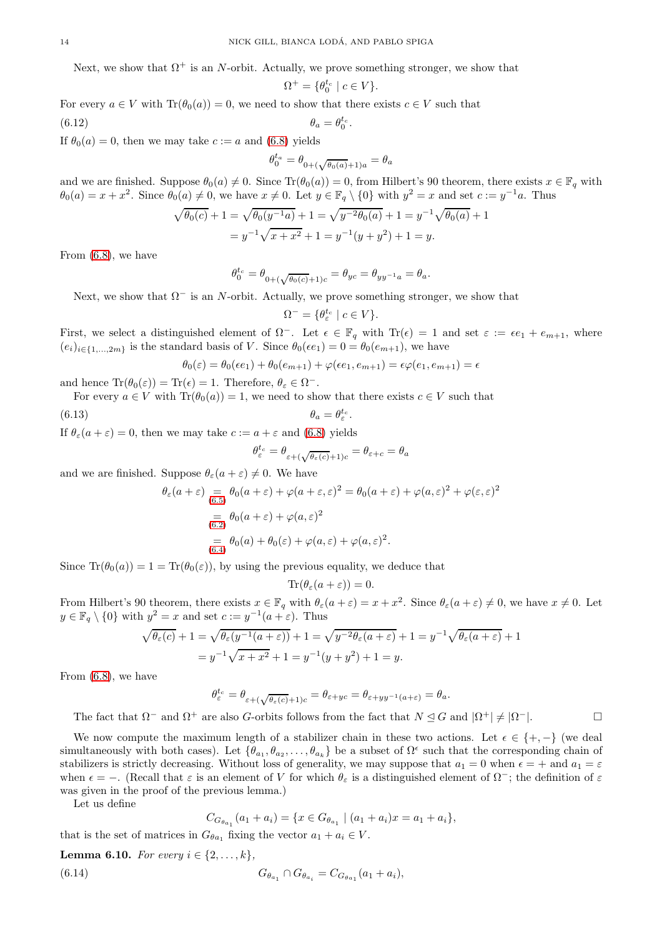Next, we show that  $\Omega^+$  is an N-orbit. Actually, we prove something stronger, we show that

$$
\Omega^+ = \{ \theta_0^{t_c} \mid c \in V \}.
$$

For every  $a \in V$  with  $\text{Tr}(\theta_0(a)) = 0$ , we need to show that there exists  $c \in V$  such that

$$
\theta_a = \theta_0^{t_c}.
$$

If  $\theta_0(a) = 0$ , then we may take  $c := a$  and [\(6.8\)](#page-11-0) yields

$$
\theta_0^{t_a} = \theta_{0 + (\sqrt{\theta_0(a)} + 1)a} = \theta_a
$$

and we are finished. Suppose  $\theta_0(a) \neq 0$ . Since  $\text{Tr}(\theta_0(a)) = 0$ , from Hilbert's 90 theorem, there exists  $x \in \mathbb{F}_q$  with  $\theta_0(a) = x + x^2$ . Since  $\theta_0(a) \neq 0$ , we have  $x \neq 0$ . Let  $y \in \mathbb{F}_q \setminus \{0\}$  with  $y^2 = x$  and set  $c := y^{-1}a$ . Thus

$$
\sqrt{\theta_0(c)} + 1 = \sqrt{\theta_0(y^{-1}a)} + 1 = \sqrt{y^{-2}\theta_0(a)} + 1 = y^{-1}\sqrt{\theta_0(a)} + 1
$$
  
=  $y^{-1}\sqrt{x + x^2} + 1 = y^{-1}(y + y^2) + 1 = y$ .

From [\(6.8\)](#page-11-0), we have

$$
\theta^{t_c}_0=\theta_{0+(\sqrt{\theta_0(c)}+1)c}=\theta_{yc}=\theta_{yy^{-1}a}=\theta_a.
$$

Next, we show that  $\Omega^-$  is an N-orbit. Actually, we prove something stronger, we show that

$$
\Omega^- = \{ \theta^{t_c}_\varepsilon \mid c \in V \}.
$$

First, we select a distinguished element of  $\Omega^-$ . Let  $\epsilon \in \mathbb{F}_q$  with Tr( $\epsilon$ ) = 1 and set  $\varepsilon := \epsilon e_1 + e_{m+1}$ , where  $(e_i)_{i\in\{1,\ldots,2m\}}$  is the standard basis of V. Since  $\theta_0(\epsilon e_1) = 0 = \theta_0(e_{m+1})$ , we have

$$
\theta_0(\varepsilon) = \theta_0(\epsilon e_1) + \theta_0(e_{m+1}) + \varphi(\epsilon e_1, e_{m+1}) = \epsilon \varphi(e_1, e_{m+1}) = \epsilon
$$

and hence  $\text{Tr}(\theta_0(\varepsilon)) = \text{Tr}(\varepsilon) = 1$ . Therefore,  $\theta_{\varepsilon} \in \Omega^-$ .

For every  $a \in V$  with  $\text{Tr}(\theta_0(a)) = 1$ , we need to show that there exists  $c \in V$  such that

$$
\theta_a = \theta_\varepsilon^{t_c}.
$$

If  $\theta_{\varepsilon}(a+\varepsilon) = 0$ , then we may take  $c := a + \varepsilon$  and [\(6.8\)](#page-11-0) yields

$$
\theta_{\varepsilon}^{t_c} = \theta_{\varepsilon + (\sqrt{\theta_{\varepsilon}(c)} + 1)c} = \theta_{\varepsilon + c} = \theta_a
$$

and we are finished. Suppose  $\theta_{\varepsilon}(a+\varepsilon) \neq 0$ . We have

$$
\theta_{\varepsilon}(a+\varepsilon) = \theta_0(a+\varepsilon) + \varphi(a+\varepsilon,\varepsilon)^2 = \theta_0(a+\varepsilon) + \varphi(a,\varepsilon)^2 + \varphi(\varepsilon,\varepsilon)^2
$$
  
= 
$$
\theta_0(a+\varepsilon) + \varphi(a,\varepsilon)^2
$$
  
= 
$$
\theta_0(a) + \theta_0(\varepsilon) + \varphi(a,\varepsilon) + \varphi(a,\varepsilon)^2.
$$
  
(6.4)

Since  $\text{Tr}(\theta_0(a)) = 1 = \text{Tr}(\theta_0(\varepsilon))$ , by using the previous equality, we deduce that

$$
\text{Tr}(\theta_{\varepsilon}(a+\varepsilon))=0.
$$

From Hilbert's 90 theorem, there exists  $x \in \mathbb{F}_q$  with  $\theta_{\varepsilon}(a+\varepsilon) = x + x^2$ . Since  $\theta_{\varepsilon}(a+\varepsilon) \neq 0$ , we have  $x \neq 0$ . Let  $y \in \mathbb{F}_q \setminus \{0\}$  with  $y^2 = x$  and set  $c := y^{-1}(a + \varepsilon)$ . Thus

$$
\sqrt{\theta_{\varepsilon}(c)} + 1 = \sqrt{\theta_{\varepsilon}(y^{-1}(a+\varepsilon))} + 1 = \sqrt{y^{-2}\theta_{\varepsilon}(a+\varepsilon)} + 1 = y^{-1}\sqrt{\theta_{\varepsilon}(a+\varepsilon)} + 1
$$

$$
= y^{-1}\sqrt{x+x^2} + 1 = y^{-1}(y+y^2) + 1 = y.
$$

From [\(6.8\)](#page-11-0), we have

$$
\theta^{t_c}_\varepsilon = \theta_{\varepsilon+(\sqrt{\theta_\varepsilon(c)}+1)c} = \theta_{\varepsilon+yc} = \theta_{\varepsilon+yy^{-1}(a+\varepsilon)} = \theta_a.
$$

The fact that  $\Omega^-$  and  $\Omega^+$  are also G-orbits follows from the fact that  $N \leq G$  and  $|\Omega^+| \neq |\Omega^-|$ .

We now compute the maximum length of a stabilizer chain in these two actions. Let  $\epsilon \in \{+, -\}$  (we deal simultaneously with both cases). Let  $\{\theta_{a_1}, \theta_{a_2}, \dots, \theta_{a_k}\}$  be a subset of  $\Omega^{\epsilon}$  such that the corresponding chain of stabilizers is strictly decreasing. Without loss of generality, we may suppose that  $a_1 = 0$  when  $\epsilon = +$  and  $a_1 = \epsilon$ when  $\epsilon = -$ . (Recall that  $\varepsilon$  is an element of V for which  $\theta_{\varepsilon}$  is a distinguished element of  $\Omega^-$ ; the definition of  $\varepsilon$ was given in the proof of the previous lemma.)

Let us define

<span id="page-13-0"></span>
$$
C_{G_{\theta_{a_1}}}(a_1 + a_i) = \{x \in G_{\theta_{a_1}} \mid (a_1 + a_i)x = a_1 + a_i\},\
$$

that is the set of matrices in  $G_{\theta a_1}$  fixing the vector  $a_1 + a_i \in V$ .

**Lemma 6.10.** For every 
$$
i \in \{2, ..., k\}
$$
,  
(6.14)  $G_{\theta_{a_1}} \cap G_{\theta_{a_i}} = C_{G_{\theta_{a_1}}}(a_1 + a_i),$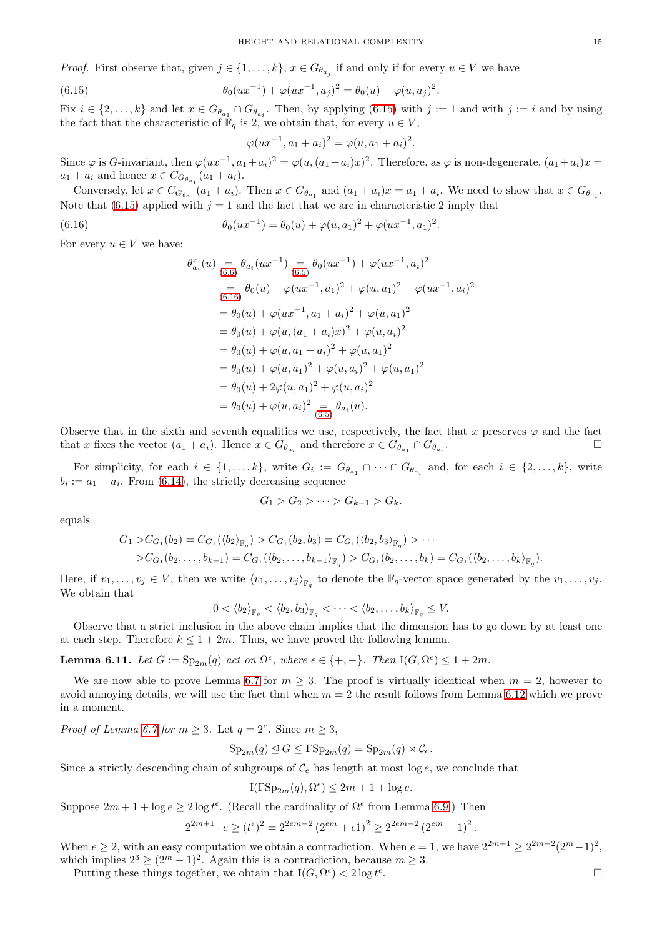*Proof.* First observe that, given  $j \in \{1, ..., k\}$ ,  $x \in G_{\theta_{a_j}}$  if and only if for every  $u \in V$  we have

(6.15) 
$$
\theta_0(ux^{-1}) + \varphi(ux^{-1}, a_j)^2 = \theta_0(u) + \varphi(u, a_j)^2.
$$

Fix  $i \in \{2,\ldots,k\}$  and let  $x \in G_{\theta_{a_1}} \cap G_{\theta_{a_i}}$ . Then, by applying [\(6.15\)](#page-14-0) with  $j := 1$  and with  $j := i$  and by using the fact that the characteristic of  $\mathbb{F}_q$  is 2, we obtain that, for every  $u \in V$ ,

<span id="page-14-0"></span>
$$
\varphi(ux^{-1}, a_1 + a_i)^2 = \varphi(u, a_1 + a_i)^2.
$$

Since  $\varphi$  is G-invariant, then  $\varphi(ux^{-1}, a_1 + a_i)^2 = \varphi(u, (a_1 + a_i)x)^2$ . Therefore, as  $\varphi$  is non-degenerate,  $(a_1 + a_i)x =$  $a_1 + a_i$  and hence  $x \in C_{G_{\theta_{a_1}}}(a_1 + a_i)$ .

Conversely, let  $x \in C_{G_{\theta_{a_1}}}(a_1 + a_i)$ . Then  $x \in G_{\theta_{a_1}}$  and  $(a_1 + a_i)x = a_1 + a_i$ . We need to show that  $x \in G_{\theta_{a_i}}$ . Note that [\(6.15\)](#page-14-0) applied with  $j = 1$  and the fact that we are in characteristic 2 imply that

(6.16) 
$$
\theta_0(ux^{-1}) = \theta_0(u) + \varphi(u, a_1)^2 + \varphi(ux^{-1}, a_1)^2.
$$

For every  $u \in V$  we have:

<span id="page-14-1"></span>
$$
\theta_{a_i}^x(u) = \theta_{a_i}(ux^{-1}) = \theta_0(ux^{-1}) + \varphi(ux^{-1}, a_i)^2
$$
  
\n
$$
= \theta_0(u) + \varphi(ux^{-1}, a_1)^2 + \varphi(u, a_1)^2 + \varphi(ux^{-1}, a_i)^2
$$
  
\n
$$
= \theta_0(u) + \varphi(ux^{-1}, a_1 + a_i)^2 + \varphi(u, a_1)^2
$$
  
\n
$$
= \theta_0(u) + \varphi(u, (a_1 + a_i)x)^2 + \varphi(u, a_i)^2
$$
  
\n
$$
= \theta_0(u) + \varphi(u, a_1 + a_i)^2 + \varphi(u, a_1)^2
$$
  
\n
$$
= \theta_0(u) + \varphi(u, a_1)^2 + \varphi(u, a_1)^2 + \varphi(u, a_1)^2
$$
  
\n
$$
= \theta_0(u) + 2\varphi(u, a_1)^2 + \varphi(u, a_i)^2
$$
  
\n
$$
= \theta_0(u) + 2\varphi(u, a_1)^2 + \varphi(u, a_i)^2
$$
  
\n
$$
= \theta_0(u) + \varphi(u, a_i)^2
$$
  
\n
$$
= \theta_0(u) + \varphi(u, a_i)^2
$$
  
\n
$$
= \theta_0(u) + \varphi(u, a_i)^2
$$
  
\n
$$
= \theta_0(u)
$$

Observe that in the sixth and seventh equalities we use, respectively, the fact that x preserves  $\varphi$  and the fact that x fixes the vector  $(a_1 + a_i)$ . Hence  $x \in G_{\theta_{a_i}}$  and therefore  $x \in G_{\theta_{a_1}} \cap G_{\theta_{a_i}}$ . — Первый процесс в получине производите в собстановки производите в собстановки производите собстановки и пр<br>В собстановки производите собстановки производите собстановки производите собстановки производите собстановки

For simplicity, for each  $i \in \{1,\ldots,k\}$ , write  $G_i := G_{\theta_{a_1}} \cap \cdots \cap G_{\theta_{a_i}}$  and, for each  $i \in \{2,\ldots,k\}$ , write  $b_i := a_1 + a_i$ . From [\(6.14\)](#page-13-0), the strictly decreasing sequence

$$
G_1>G_2>\cdots>G_{k-1}>G_k.
$$

equals

$$
G_1 > C_{G_1}(b_2) = C_{G_1}(\langle b_2 \rangle_{\mathbb{F}_q}) > C_{G_1}(b_2, b_3) = C_{G_1}(\langle b_2, b_3 \rangle_{\mathbb{F}_q}) > \cdots > C_{G_1}(b_2, \ldots, b_{k-1}) = C_{G_1}(\langle b_2, \ldots, b_{k-1} \rangle_{\mathbb{F}_q}) > C_{G_1}(b_2, \ldots, b_k) = C_{G_1}(\langle b_2, \ldots, b_k \rangle_{\mathbb{F}_q}).
$$

Here, if  $v_1, \ldots, v_j \in V$ , then we write  $\langle v_1, \ldots, v_j \rangle_{\mathbb{F}_q}$  to denote the  $\mathbb{F}_q$ -vector space generated by the  $v_1, \ldots, v_j$ . We obtain that

$$
0 < \langle b_2 \rangle_{\mathbb{F}_q} < \langle b_2, b_3 \rangle_{\mathbb{F}_q} < \cdots < \langle b_2, \ldots, b_k \rangle_{\mathbb{F}_q} \leq V.
$$

Observe that a strict inclusion in the above chain implies that the dimension has to go down by at least one at each step. Therefore  $k \leq 1 + 2m$ . Thus, we have proved the following lemma.

**Lemma 6.11.** Let  $G := \mathrm{Sp}_{2m}(q)$  act on  $\Omega^{\epsilon}$ , where  $\epsilon \in \{+, -\}$ . Then  $I(G, \Omega^{\epsilon}) \leq 1 + 2m$ .

We are now able to prove Lemma [6.7](#page-9-3) for  $m \geq 3$ . The proof is virtually identical when  $m = 2$ , however to avoid annoying details, we will use the fact that when  $m = 2$  the result follows from Lemma [6.12](#page-15-0) which we prove in a moment.

*Proof of Lemma [6.7](#page-9-3) for*  $m \geq 3$ . Let  $q = 2^e$ . Since  $m \geq 3$ ,

$$
Sp_{2m}(q) \le G \le FSp_{2m}(q) = Sp_{2m}(q) \rtimes \mathcal{C}_e.
$$

Since a strictly descending chain of subgroups of  $\mathcal{C}_e$  has length at most log e, we conclude that

 $I(\Gamma \text{Sp}_{2m}(q), \Omega^{\epsilon}) \leq 2m + 1 + \log e.$ 

Suppose  $2m + 1 + \log e \ge 2 \log t^{\epsilon}$ . (Recall the cardinality of  $\Omega^{\epsilon}$  from Lemma [6.9.](#page-11-1)) Then

$$
2^{2m+1} \cdot e \ge (t^{\epsilon})^2 = 2^{2em-2} (2^{em} + \epsilon 1)^2 \ge 2^{2em-2} (2^{em} - 1)^2
$$

When  $e \ge 2$ , with an easy computation we obtain a contradiction. When  $e = 1$ , we have  $2^{2m+1} \ge 2^{2m-2}(2^m-1)^2$ , which implies  $2^3 \ge (2^m - 1)^2$ . Again this is a contradiction, because  $m \ge 3$ .

Putting these things together, we obtain that  $I(G, \Omega^{\epsilon}) < 2 \log t^{\epsilon}$ 

.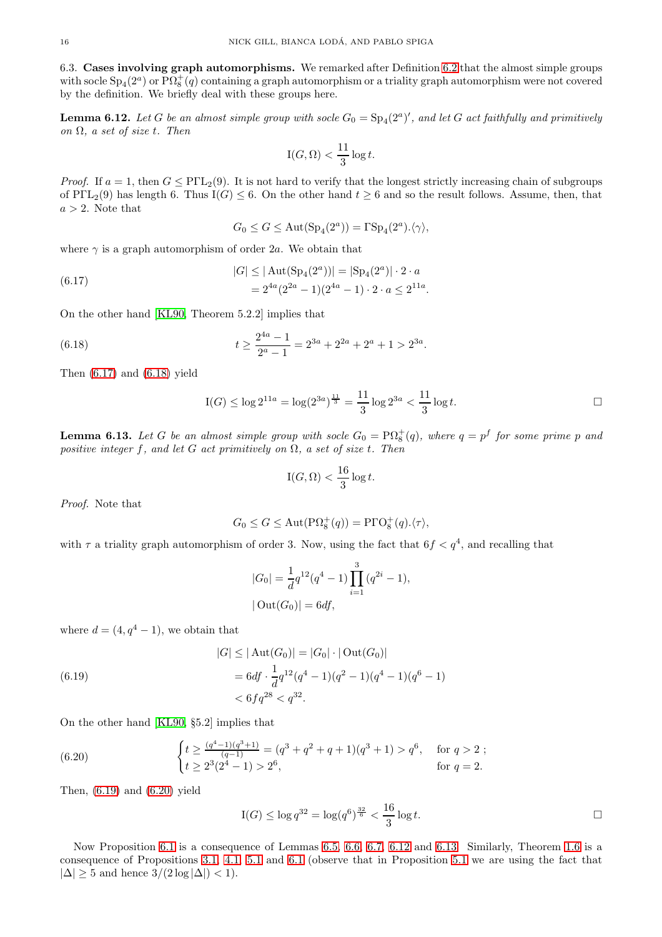6.3. Cases involving graph automorphisms. We remarked after Definition [6.2](#page-8-4) that the almost simple groups with socle  ${\rm Sp}_4(2^a)$  or  ${\rm P}\Omega_8^+(q)$  containing a graph automorphism or a triality graph automorphism were not covered by the definition. We briefly deal with these groups here.

<span id="page-15-0"></span>**Lemma 6.12.** Let G be an almost simple group with socle  $G_0 = \text{Sp}_4(2^a)'$ , and let G act faithfully and primitively *on* Ω*, a set of size* t*. Then*

$$
\mathrm{I}(G,\Omega) < \frac{11}{3}\log t.
$$

*Proof.* If  $a = 1$ , then  $G \leq PIL_2(9)$ . It is not hard to verify that the longest strictly increasing chain of subgroups of PΓL<sub>2</sub>(9) has length 6. Thus I(G)  $\leq$  6. On the other hand  $t \geq 6$  and so the result follows. Assume, then, that  $a > 2$ . Note that

$$
G_0 \le G \le \mathrm{Aut}(\mathrm{Sp}_4(2^a)) = \Gamma \mathrm{Sp}_4(2^a).\langle \gamma \rangle,
$$

where  $\gamma$  is a graph automorphism of order 2a. We obtain that

<span id="page-15-1"></span>(6.17) 
$$
|G| \leq |\text{Aut}(\text{Sp}_4(2^a))| = |\text{Sp}_4(2^a)| \cdot 2 \cdot a
$$

$$
= 2^{4a} (2^{2a} - 1)(2^{4a} - 1) \cdot 2 \cdot a \leq 2^{11a}.
$$

On the other hand [\[KL90,](#page-25-10) Theorem 5.2.2] implies that

(6.18) 
$$
t \ge \frac{2^{4a} - 1}{2^a - 1} = 2^{3a} + 2^{2a} + 2^a + 1 > 2^{3a}.
$$

Then  $(6.17)$  and  $(6.18)$  yield

<span id="page-15-2"></span>
$$
I(G) \le \log 2^{11a} = \log(2^{3a})^{\frac{11}{3}} = \frac{11}{3} \log 2^{3a} < \frac{11}{3} \log t.
$$

<span id="page-15-5"></span>**Lemma 6.13.** Let G be an almost simple group with socle  $G_0 = \text{P}\Omega_8^+(q)$ , where  $q = p^f$  for some prime p and *positive integer* f*, and let* G *act primitively on* Ω*, a set of size* t*. Then*

$$
\mathrm{I}(G,\Omega) < \frac{16}{3}\log t.
$$

*Proof.* Note that

$$
G_0 \le G \le \text{Aut}(\mathbf{P}\Omega_8^+(q)) = \mathbf{P}\Gamma\mathrm{O}_8^+(q).\langle \tau \rangle,
$$

with  $\tau$  a triality graph automorphism of order 3. Now, using the fact that  $6f < q^4$ , and recalling that

$$
|G_0| = \frac{1}{d}q^{12}(q^4 - 1)\prod_{i=1}^3 (q^{2i} - 1),
$$
  
 
$$
|\text{Out}(G_0)| = 6df,
$$

where  $d = (4, q<sup>4</sup> - 1)$ , we obtain that

<span id="page-15-3"></span>(6.19) 
$$
|G| \le |\operatorname{Aut}(G_0)| = |G_0| \cdot |\operatorname{Out}(G_0)|
$$

$$
= 6df \cdot \frac{1}{d}q^{12}(q^4 - 1)(q^2 - 1)(q^4 - 1)(q^6 - 1)
$$

$$
< 6fq^{28} < q^{32}.
$$

On the other hand [\[KL90,](#page-25-10) §5.2] implies that

(6.20) 
$$
\begin{cases} t \geq \frac{(q^4 - 1)(q^3 + 1)}{(q - 1)} = (q^3 + q^2 + q + 1)(q^3 + 1) > q^6, & \text{for } q > 2 ;\\ t \geq 2^3(2^4 - 1) > 2^6, & \text{for } q = 2. \end{cases}
$$

Then, [\(6.19\)](#page-15-3) and [\(6.20\)](#page-15-4) yield

<span id="page-15-4"></span>
$$
I(G) \le \log q^{32} = \log(q^6)^{\frac{32}{6}} < \frac{16}{3} \log t. \Box
$$

Now Proposition [6.1](#page-8-2) is a consequence of Lemmas [6.5,](#page-9-0) [6.6,](#page-9-4) [6.7,](#page-9-3) [6.12](#page-15-0) and [6.13.](#page-15-5) Similarly, Theorem [1.6](#page-1-4) is a consequence of Propositions [3.1,](#page-5-1) [4.1,](#page-6-3) [5.1](#page-7-2) and [6.1](#page-8-2) (observe that in Proposition [5.1](#page-7-2) we are using the fact that  $|\Delta| \geq 5$  and hence  $3/(2 \log |\Delta|) < 1$ .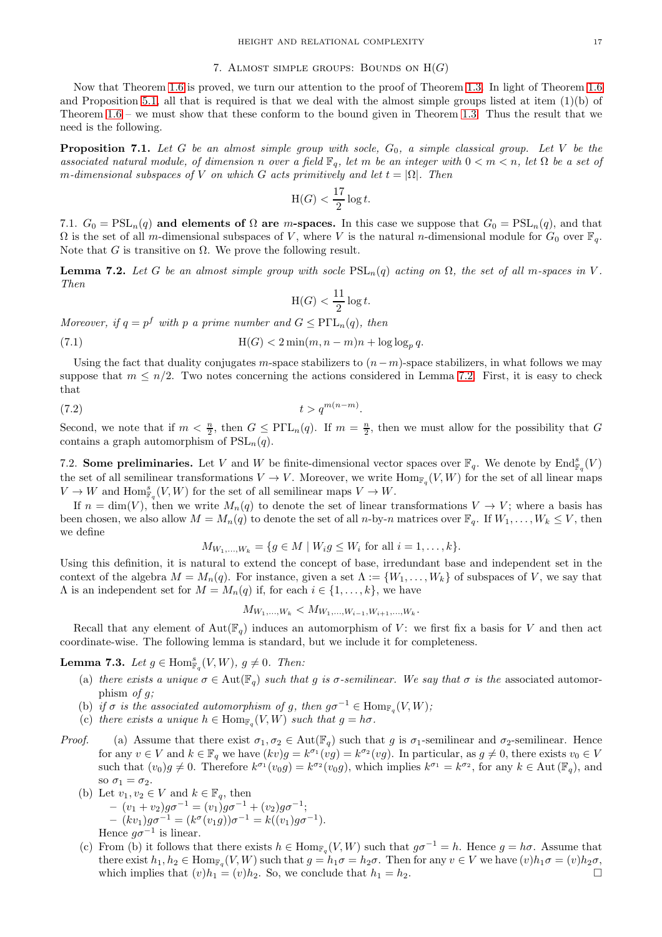# 7. ALMOST SIMPLE GROUPS: BOUNDS ON  $H(G)$

<span id="page-16-0"></span>Now that Theorem [1.6](#page-1-4) is proved, we turn our attention to the proof of Theorem [1.3.](#page-1-3) In light of Theorem [1.6](#page-1-4) and Proposition [5.1,](#page-7-2) all that is required is that we deal with the almost simple groups listed at item (1)(b) of Theorem [1.6](#page-1-4) – we must show that these conform to the bound given in Theorem [1.3.](#page-1-3) Thus the result that we need is the following.

<span id="page-16-6"></span>**Proposition 7.1.** Let G be an almost simple group with socle,  $G_0$ , a simple classical group. Let V be the *associated natural module, of dimension* n *over a field*  $\mathbb{F}_q$ *, let* m *be an integer with*  $0 < m < n$ *, let*  $\Omega$  *be a set of m*-dimensional subspaces of V on which G acts primitively and let  $t = |\Omega|$ . Then

$$
\text{H}(G) < \frac{17}{2} \log t.
$$

7.1.  $G_0 = \text{PSL}_n(q)$  and elements of  $\Omega$  are m-spaces. In this case we suppose that  $G_0 = \text{PSL}_n(q)$ , and that  $\Omega$  is the set of all m-dimensional subspaces of V, where V is the natural n-dimensional module for  $G_0$  over  $\mathbb{F}_q$ . Note that G is transitive on  $\Omega$ . We prove the following result.

<span id="page-16-2"></span>**Lemma 7.2.** Let G be an almost simple group with socle  $PSL_n(q)$  acting on  $\Omega$ , the set of all m-spaces in V. *Then*

<span id="page-16-5"></span>
$$
H(G) < \frac{11}{2} \log t.
$$

*Moreover, if*  $q = p^f$  *with*  $p$  *a prime number and*  $G \leq P\Gamma L_n(q)$ *, then* 

(7.1) 
$$
H(G) < 2 \min(m, n-m)n + \log \log_p q.
$$

Using the fact that duality conjugates m-space stabilizers to  $(n-m)$ -space stabilizers, in what follows we may suppose that  $m \leq n/2$ . Two notes concerning the actions considered in Lemma [7.2.](#page-16-2) First, it is easy to check that

$$
(7.2) \t\t t > q^{m(n-m)}
$$

Second, we note that if  $m < \frac{n}{2}$ , then  $G \leq P\Gamma L_n(q)$ . If  $m = \frac{n}{2}$ , then we must allow for the possibility that G contains a graph automorphism of  $PSL_n(q)$ .

<span id="page-16-4"></span>.

<span id="page-16-3"></span>7.2. Some preliminaries. Let V and W be finite-dimensional vector spaces over  $\mathbb{F}_q$ . We denote by  $\text{End}_{\mathbb{F}_q}^s(V)$ the set of all semilinear transformations  $V \to V$ . Moreover, we write  $\text{Hom}_{\mathbb{F}_q}(V, W)$  for the set of all linear maps  $V \to W$  and  $\operatorname{Hom}_{\mathbb{F}_q}^s(V,W)$  for the set of all semilinear maps  $V \to W$ .

If  $n = \dim(V)$ , then we write  $M_n(q)$  to denote the set of linear transformations  $V \to V$ ; where a basis has been chosen, we also allow  $M = M_n(q)$  to denote the set of all n-by-n matrices over  $\mathbb{F}_q$ . If  $W_1, \ldots, W_k \leq V$ , then we define

$$
M_{W_1,...,W_k} = \{ g \in M \mid W_i g \leq W_i \text{ for all } i = 1,...,k \}.
$$

Using this definition, it is natural to extend the concept of base, irredundant base and independent set in the context of the algebra  $M = M_n(q)$ . For instance, given a set  $\Lambda := \{W_1, \ldots, W_k\}$  of subspaces of V, we say that  $\Lambda$  is an independent set for  $M = M_n(q)$  if, for each  $i \in \{1, \ldots, k\}$ , we have

$$
M_{W_1,\ldots,W_k} < M_{W_1,\ldots,W_{i-1},W_{i+1},\ldots,W_k}.
$$

Recall that any element of  $Aut(\mathbb{F}_q)$  induces an automorphism of V: we first fix a basis for V and then act coordinate-wise. The following lemma is standard, but we include it for completeness.

<span id="page-16-1"></span>**Lemma 7.3.** *Let*  $g \in \text{Hom}_{\mathbb{F}_q}^s(V, W)$ *,*  $g \neq 0$ *. Then:* 

- (a) there exists a unique  $\sigma \in Aut(\mathbb{F}_q)$  *such that* g *is*  $\sigma$ -semilinear. We say that  $\sigma$  *is the* associated automorphism *of* g*;*
- (b) *if*  $\sigma$  *is the associated automorphism of* g, then  $g\sigma^{-1} \in \text{Hom}_{\mathbb{F}_q}(V, W)$ ;
- (c) there exists a unique  $h \in \text{Hom}_{\mathbb{F}_q}(V, W)$  such that  $g = h\sigma$ .
- *Proof.* (a) Assume that there exist  $\sigma_1, \sigma_2 \in \text{Aut}(\mathbb{F}_q)$  such that g is  $\sigma_1$ -semilinear and  $\sigma_2$ -semilinear. Hence for any  $v \in V$  and  $k \in \mathbb{F}_q$  we have  $(kv)g = k^{\sigma_1}(vg) = k^{\sigma_2}(vg)$ . In particular, as  $g \neq 0$ , there exists  $v_0 \in V$ such that  $(v_0)g \neq 0$ . Therefore  $k^{\sigma_1}(v_0g) = k^{\sigma_2}(v_0g)$ , which implies  $k^{\sigma_1} = k^{\sigma_2}$ , for any  $k \in \text{Aut}(\mathbb{F}_q)$ , and so  $\sigma_1 = \sigma_2$ .
	- (b) Let  $v_1, v_2 \in V$  and  $k \in \mathbb{F}_q$ , then  $- (v_1 + v_2)g\sigma^{-1} = (v_1)g\sigma^{-1} + (v_2)g\sigma^{-1};$  $-(kv_1)g\sigma^{-1} = (k^{\sigma}(v_1g))\sigma^{-1} = k((v_1)g\sigma^{-1}).$ Hence  $g\sigma^{-1}$  is linear.
	- (c) From (b) it follows that there exists  $h \in \text{Hom}_{\mathbb{F}_q}(V, W)$  such that  $g\sigma^{-1} = h$ . Hence  $g = h\sigma$ . Assume that there exist  $h_1, h_2 \in \text{Hom}_{\mathbb{F}_q}(V, W)$  such that  $g = h_1 \sigma = h_2 \sigma$ . Then for any  $v \in V$  we have  $(v)h_1 \sigma = (v)h_2 \sigma$ , which implies that  $(v)h_1 = (v)h_2$ . So, we conclude that  $h_1 = h_2$ .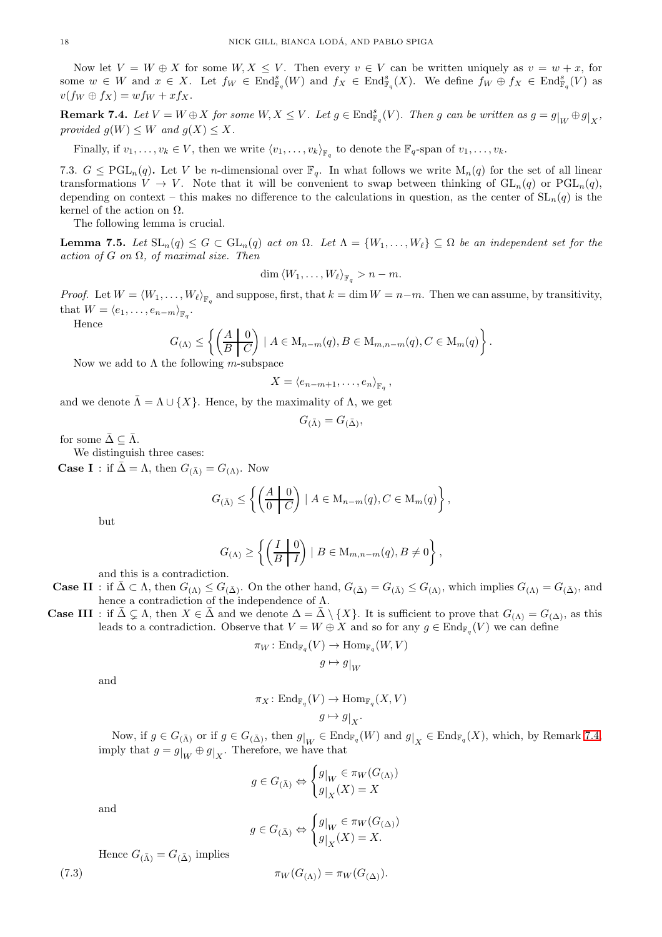Now let  $V = W \oplus X$  for some  $W, X \leq V$ . Then every  $v \in V$  can be written uniquely as  $v = w + x$ , for some  $w \in W$  and  $x \in X$ . Let  $f_W \in \text{End}_{\mathbb{F}_q}^s(W)$  and  $f_X \in \text{End}_{\mathbb{F}_q}^s(X)$ . We define  $f_W \oplus f_X \in \text{End}_{\mathbb{F}_q}^s(V)$  as  $v(f_W \oplus f_X) = wf_W + xf_X.$ 

<span id="page-17-0"></span>Remark 7.4. Let  $V = W \oplus X$  for some  $W, X \leq V$ . Let  $g \in \text{End}_{\mathbb{F}_q}^s(V)$ . Then g can be written as  $g = g|_W \oplus g|_X$ , *provided*  $g(W) \leq W$  *and*  $g(X) \leq X$ *.* 

<span id="page-17-2"></span>Finally, if  $v_1, \ldots, v_k \in V$ , then we write  $\langle v_1, \ldots, v_k \rangle_{\mathbb{F}_q}$  to denote the  $\mathbb{F}_q$ -span of  $v_1, \ldots, v_k$ .

7.3.  $G \leq \text{PGL}_n(q)$ . Let V be *n*-dimensional over  $\mathbb{F}_q$ . In what follows we write  $M_n(q)$  for the set of all linear transformations  $V \to V$ . Note that it will be convenient to swap between thinking of  $GL_n(q)$  or  $PGL_n(q)$ , depending on context – this makes no difference to the calculations in question, as the center of  $SL_n(q)$  is the kernel of the action on  $\Omega$ .

The following lemma is crucial.

<span id="page-17-3"></span>**Lemma 7.5.** Let  $SL_n(q) \leq G \subset GL_n(q)$  act on  $\Omega$ . Let  $\Lambda = \{W_1, \ldots, W_\ell\} \subseteq \Omega$  be an independent set for the *action of* G *on* Ω*, of maximal size. Then*

$$
\dim \langle W_1,\ldots,W_\ell\rangle_{\mathbb{F}_q}>n-m.
$$

*Proof.* Let  $W = \langle W_1, \ldots, W_\ell \rangle_{\mathbb{F}_q}$  and suppose, first, that  $k = \dim W = n-m$ . Then we can assume, by transitivity, that  $W = \langle e_1, \ldots, e_{n-m} \rangle_{\mathbb{F}_q}.$ 

Hence

$$
G_{(\Lambda)} \leq \left\{ \left( \frac{A}{B \mid C} \right) \mid A \in M_{n-m}(q), B \in M_{m,n-m}(q), C \in M_m(q) \right\}.
$$

Now we add to  $\Lambda$  the following m-subspace

$$
X = \langle e_{n-m+1}, \ldots, e_n \rangle_{\mathbb{F}_q},
$$

and we denote  $\bar{\Lambda} = \Lambda \cup \{X\}$ . Hence, by the maximality of  $\Lambda$ , we get

$$
G_{(\bar{\Lambda})} = G_{(\bar{\Delta})},
$$

for some  $\overline{\Delta} \subseteq \overline{\Lambda}$ .

We distinguish three cases:

**Case I** : if  $\bar{\Delta} = \Lambda$ , then  $G_{(\bar{\Lambda})} = G_{(\Lambda)}$ . Now

$$
G_{(\bar{\Lambda})} \leq \left\{ \left( \frac{A \mid 0}{0 \mid C} \right) \mid A \in \mathrm{M}_{n-m}(q), C \in \mathrm{M}_{m}(q) \right\},\,
$$

but

$$
G_{(\Lambda)} \ge \left\{ \left( \frac{I \mid 0}{B \mid I} \right) \mid B \in \mathcal{M}_{m,n-m}(q), B \neq 0 \right\},\
$$

and this is a contradiction.

**Case II** : if  $\bar{\Delta} \subset \Lambda$ , then  $G_{(\Lambda)} \leq G_{(\bar{\Delta})}$ . On the other hand,  $G_{(\bar{\Delta})} = G_{(\bar{\Lambda})} \leq G_{(\Lambda)}$ , which implies  $G_{(\Lambda)} = G_{(\bar{\Delta})}$ , and hence a contradiction of the independence of  $\Lambda$ .

**Case III**: if  $\bar{\Delta} \subsetneq \Lambda$ , then  $X \in \bar{\Delta}$  and we denote  $\Delta = \bar{\Delta} \setminus \{X\}$ . It is sufficient to prove that  $G_{(\Lambda)} = G_{(\Delta)}$ , as this leads to a contradiction. Observe that  $V = W \oplus X$  and so for any  $g \in \text{End}_{\mathbb{F}_q}(V)$  we can define

$$
\pi_W : \mathrm{End}_{\mathbb{F}_q}(V) \to \mathrm{Hom}_{\mathbb{F}_q}(W, V)
$$

$$
g \mapsto g|_W
$$

and

$$
\pi_X\colon \mathrm{End}_{\mathbb{F}_q}(V)\to \mathrm{Hom}_{\mathbb{F}_q}(X,V)
$$

$$
g\mapsto g\big|_X.
$$

Now, if  $g \in G_{(\bar{\Lambda})}$  or if  $g \in G_{(\bar{\Delta})}$ , then  $g|_W \in \text{End}_{\mathbb{F}_q}(W)$  and  $g|_X \in \text{End}_{\mathbb{F}_q}(X)$ , which, by Remark [7.4,](#page-17-0) imply that  $g = g|_W \oplus g|_X$ . Therefore, we have that

$$
g \in G_{(\bar{\Lambda})} \Leftrightarrow \begin{cases} g|_{W} \in \pi_{W}(G_{(\Lambda)}) \\ g|_{X}(X) = X \end{cases}
$$

and

<span id="page-17-1"></span>
$$
g \in G_{(\bar{\Delta})} \Leftrightarrow \begin{cases} g|_{W} \in \pi_{W}(G_{(\Delta)}) \\ g|_{X}(X) = X. \end{cases}
$$

Hence  $G_{(\bar{\Lambda})} = G_{(\bar{\Delta})}$  implies

$$
\pi_W(G_{(\Lambda)}) = \pi_W(G_{(\Delta)}).
$$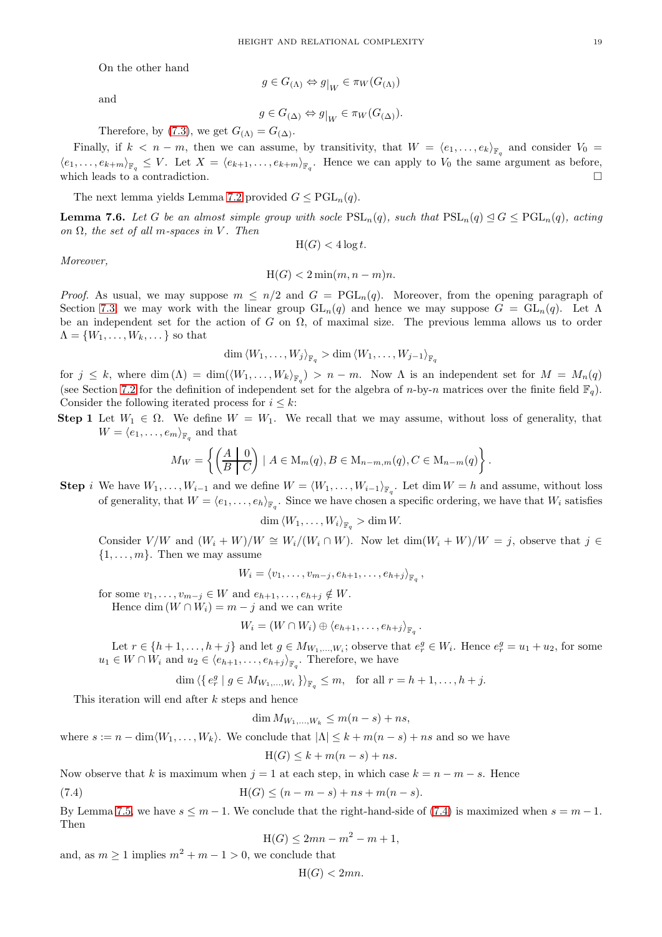On the other hand

$$
g \in G_{(\Lambda)} \Leftrightarrow g|_{W} \in \pi_{W}(G_{(\Lambda)})
$$

and

$$
f_{\rm{max}} = \frac{1}{2} \sum_{i=1}^{2} \frac{1}{2} \sum_{i=1}^{2} \frac{1}{2} \sum_{i=1}^{2} \frac{1}{2} \sum_{i=1}^{2} \frac{1}{2} \sum_{i=1}^{2} \frac{1}{2} \sum_{i=1}^{2} \frac{1}{2} \sum_{i=1}^{2} \frac{1}{2} \sum_{i=1}^{2} \frac{1}{2} \sum_{i=1}^{2} \frac{1}{2} \sum_{i=1}^{2} \frac{1}{2} \sum_{i=1}^{2} \frac{1}{2} \sum_{i=1}^{2} \frac{1}{2} \sum_{i=1}^{2} \frac{1}{2} \sum_{i=1}^{2} \frac{1}{2} \sum_{i=1}^{2} \frac{1}{2} \sum_{i=1}^{2} \frac{1}{2} \sum_{i=1}^{2} \frac{1}{2} \sum_{i=1}^{2} \frac{1}{2} \sum_{i=1}^{2} \frac{1}{2} \sum_{i=1}^{2} \frac{1}{2} \sum_{i=1}^{2} \frac{1}{2} \sum_{i=1}^{2} \frac{1}{2} \sum_{i=1}^{2} \frac{1}{2} \sum_{i=1}^{2} \frac{1}{2} \sum_{i=1}^{2} \frac{1}{2} \sum_{i=1}^{2} \frac{1}{2} \sum_{i=1}^{2} \frac{1}{2} \sum_{i=1}^{2} \frac{1}{2} \sum_{i=1}^{2} \frac{1}{2} \sum_{i=1}^{2} \frac{1}{2} \sum_{i=1}^{2} \frac{1}{2} \sum_{i=1}^{2} \frac{1}{2} \sum_{i=1}^{2} \frac{1}{2} \sum_{i=1}^{2} \frac{1}{2} \sum_{i=1}^{2} \frac{1}{2} \sum_{i=1}^{2} \frac{1}{2} \sum_{i=1}^{2} \frac{1}{2} \sum_{i=1}^{2} \frac{1}{2} \sum_{i=1}^{2} \frac{1}{2} \sum_{i=1}^{2} \frac{1}{2} \sum_{i=1}^{2} \frac{1}{2} \sum_{i=1}^{2} \frac{1}{2} \sum_{i=1}^{2} \frac{1}{2} \sum_{i=1}^{2} \frac{
$$

$$
g \in G_{(\Delta)} \Leftrightarrow g|_{W} \in \pi_{W}(G_{(\Delta)}).
$$

Therefore, by [\(7.3\)](#page-17-1), we get  $G_{(\Lambda)} = G_{(\Delta)}$ .

Finally, if  $k < n - m$ , then we can assume, by transitivity, that  $W = \langle e_1, \ldots, e_k \rangle_{\mathbb{F}_q}$  and consider  $V_0 =$  $\langle e_1,\ldots,e_{k+m}\rangle_{\mathbb{F}_q} \leq V$ . Let  $X = \langle e_{k+1},\ldots,e_{k+m}\rangle_{\mathbb{F}_q}$ . Hence we can apply to  $V_0$  the same argument as before, which leads to a contradiction.  $\Box$ 

The next lemma yields Lemma [7.2](#page-16-2) provided  $G \leq \text{PGL}_n(q)$ .

<span id="page-18-1"></span>**Lemma 7.6.** Let G be an almost simple group with socle  $PSL_n(q)$ , such that  $PSL_n(q) \leq G \leq PGL_n(q)$ , acting  $\Omega$ , the set of all m-spaces in V. Then

$$
H(G) < 4\log t.
$$

*Moreover,*

$$
H(G) < 2\min(m, n-m)n.
$$

*Proof.* As usual, we may suppose  $m \leq n/2$  and  $G = PGL_n(q)$ . Moreover, from the opening paragraph of Section [7.3,](#page-17-2) we may work with the linear group  $GL_n(q)$  and hence we may suppose  $G = GL_n(q)$ . Let  $\Lambda$ be an independent set for the action of G on  $\Omega$ , of maximal size. The previous lemma allows us to order  $\Lambda = \{W_1, \ldots, W_k, \ldots\}$  so that

 $\dim \left< W_1,\ldots,W_j \right>_{\mathbb{F}_q} > \dim \left< W_1,\ldots,W_{j-1} \right>_{\mathbb{F}_q}$ 

for  $j \leq k$ , where  $\dim(\Lambda) = \dim(\langle W_1, \ldots, W_k \rangle_{\mathbb{F}_q}) > n - m$ . Now  $\Lambda$  is an independent set for  $M = M_n(q)$ (see Section [7.2](#page-16-3) for the definition of independent set for the algebra of n-by-n matrices over the finite field  $\mathbb{F}_q$ ). Consider the following iterated process for  $i \leq k$ :

Step 1 Let  $W_1 \in \Omega$ . We define  $W = W_1$ . We recall that we may assume, without loss of generality, that  $W = \langle e_1, \ldots, e_m \rangle_{\mathbb{F}_q}$  and that

$$
M_W = \left\{ \left( \frac{A \mid 0}{B \mid C} \right) \mid A \in M_m(q), B \in M_{n-m,m}(q), C \in M_{n-m}(q) \right\}.
$$

**Step** i We have  $W_1, \ldots, W_{i-1}$  and we define  $W = \langle W_1, \ldots, W_{i-1} \rangle_{\mathbb{F}_q}$ . Let  $\dim W = h$  and assume, without loss of generality, that  $W = \langle e_1, \ldots, e_h \rangle_{\mathbb{F}_q}$ . Since we have chosen a specific ordering, we have that  $W_i$  satisfies

$$
\dim \left\langle W_1,\ldots,W_i\right\rangle_{\mathbb{F}_q} > \dim W.
$$

Consider  $V/W$  and  $(W_i + W)/W \cong W_i/(W_i \cap W)$ . Now let dim $(W_i + W)/W = j$ , observe that  $j \in$  $\{1, \ldots, m\}$ . Then we may assume

$$
W_i = \langle v_1, \ldots, v_{m-j}, e_{h+1}, \ldots, e_{h+j} \rangle_{\mathbb{F}_q},
$$

for some  $v_1, \ldots, v_{m-j} \in W$  and  $e_{h+1}, \ldots, e_{h+j} \notin W$ . Hence dim  $(W \cap W_i) = m - j$  and we can write

$$
W_i = (W \cap W_i) \oplus \langle e_{h+1}, \ldots, e_{h+j} \rangle_{\mathbb{F}_q}.
$$

Let  $r \in \{h+1,\ldots,h+j\}$  and let  $g \in M_{W_1,\ldots,W_i}$ ; observe that  $e_r^g \in W_i$ . Hence  $e_r^g = u_1 + u_2$ , for some  $u_1 \in W \cap W_i$  and  $u_2 \in \langle e_{h+1}, \ldots, e_{h+j} \rangle_{\mathbb{F}_q}$ . Therefore, we have

$$
\dim \langle \{ e_r^g \mid g \in M_{W_1, \dots, W_i} \} \rangle_{\mathbb{F}_q} \leq m, \text{ for all } r = h+1, \dots, h+j.
$$

This iteration will end after k steps and hence

dim  $M_{W_1,...,W_k} \le m(n-s) + ns$ ,

where  $s := n - \dim \langle W_1, \ldots, W_k \rangle$ . We conclude that  $|\Lambda| \leq k + m(n - s) + ns$  and so we have

<span id="page-18-0"></span>
$$
H(G) \le k + m(n - s) + ns.
$$

Now observe that k is maximum when  $j = 1$  at each step, in which case  $k = n - m - s$ . Hence

(7.4) 
$$
H(G) \le (n - m - s) + ns + m(n - s).
$$

By Lemma [7.5,](#page-17-3) we have  $s \leq m-1$ . We conclude that the right-hand-side of [\(7.4\)](#page-18-0) is maximized when  $s = m-1$ . Then

$$
H(G) \le 2mn - m^2 - m + 1,
$$

and, as  $m \ge 1$  implies  $m^2 + m - 1 > 0$ , we conclude that

$$
H(G) < 2mn.
$$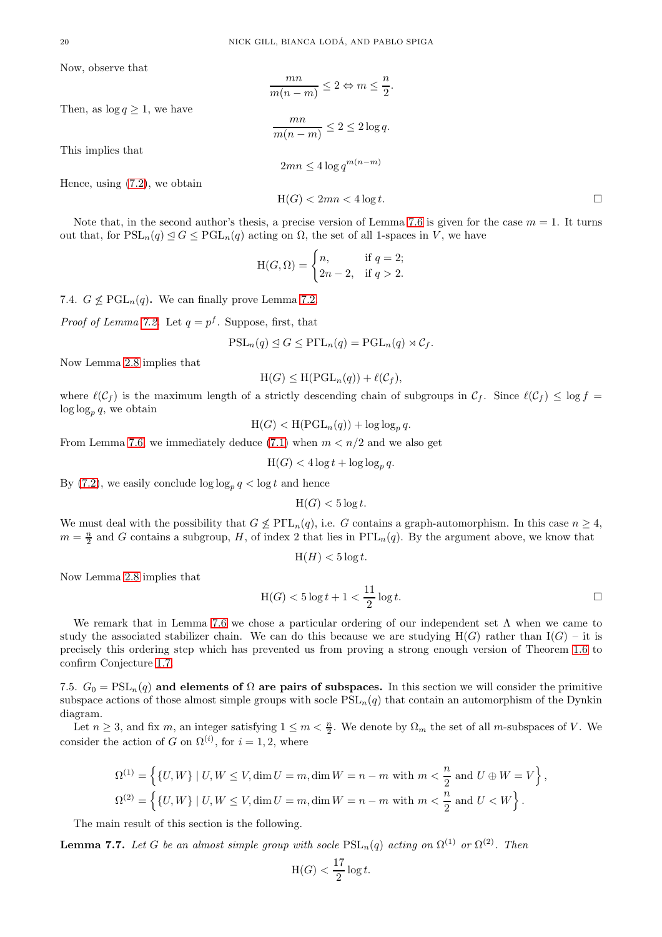Now, observe that

This implies that

Then, as  $\log q \geq 1$ , we have

Hence, using [\(7.2\)](#page-16-4), we obtain

$$
\frac{mn}{m(n-m)} \le 2 \Leftrightarrow m \le \frac{n}{2}.
$$

$$
\frac{mn}{m(n-m)} \le 2 \le 2 \log q.
$$

$$
2mn \le 4 \log q^{m(n-m)}
$$

 $H(G) < 2mn < 4 \log t$ .

Note that, in the second author's thesis, a precise version of Lemma [7.6](#page-18-1) is given for the case  $m = 1$ . It turns out that, for  $PSL_n(q) \leq G \leq PGL_n(q)$  acting on  $\Omega$ , the set of all 1-spaces in V, we have

$$
H(G, \Omega) = \begin{cases} n, & \text{if } q = 2; \\ 2n - 2, & \text{if } q > 2. \end{cases}
$$

7.4.  $G \nleq \text{PGL}_n(q)$ . We can finally prove Lemma [7.2.](#page-16-2)

*Proof of Lemma [7.2.](#page-16-2)* Let  $q = p^f$ . Suppose, first, that

$$
\mathrm{PSL}_n(q) \trianglelefteq G \leq \mathrm{P}\Gamma\mathrm{L}_n(q) = \mathrm{PGL}_n(q) \rtimes \mathcal{C}_f.
$$

Now Lemma [2.8](#page-4-3) implies that

$$
H(G) \leq H(PGL_n(q)) + \ell(\mathcal{C}_f),
$$

where  $\ell(C_f)$  is the maximum length of a strictly descending chain of subgroups in  $C_f$ . Since  $\ell(C_f) \leq \log f$  $\log \log_p q$ , we obtain

$$
H(G) < H(PGL_n(q)) + \log \log_p q.
$$

From Lemma [7.6,](#page-18-1) we immediately deduce [\(7.1\)](#page-16-5) when  $m < n/2$  and we also get

$$
H(G) < 4\log t + \log \log_p q.
$$

By  $(7.2)$ , we easily conclude  $\log \log_p q < \log t$  and hence

$$
H(G) < 5 \log t.
$$

We must deal with the possibility that  $G \nleq \text{P}\Gamma\text{L}_n(q)$ , i.e. G contains a graph-automorphism. In this case  $n \geq 4$ ,  $m = \frac{n}{2}$  and G contains a subgroup, H, of index 2 that lies in PTL<sub>n</sub>(q). By the argument above, we know that

$$
H(H) < 5 \log t.
$$

Now Lemma [2.8](#page-4-3) implies that

$$
H(G) < 5\log t + 1 < \frac{11}{2}\log t. \Box
$$

We remark that in Lemma [7.6](#page-18-1) we chose a particular ordering of our independent set  $\Lambda$  when we came to study the associated stabilizer chain. We can do this because we are studying  $H(G)$  rather than  $I(G)$  – it is precisely this ordering step which has prevented us from proving a strong enough version of Theorem [1.6](#page-1-4) to confirm Conjecture [1.7.](#page-2-1)

7.5.  $G_0 = \text{PSL}_n(q)$  and elements of  $\Omega$  are pairs of subspaces. In this section we will consider the primitive subspace actions of those almost simple groups with socle  $PSL_n(q)$  that contain an automorphism of the Dynkin diagram.

Let  $n \geq 3$ , and fix m, an integer satisfying  $1 \leq m < \frac{n}{2}$ . We denote by  $\Omega_m$  the set of all m-subspaces of V. We consider the action of G on  $\Omega^{(i)}$ , for  $i = 1, 2$ , where

$$
\begin{aligned} \Omega^{(1)} &= \left\{ \left\{ U,W \right\} \mid U,W \leq V, \dim U = m, \dim W = n-m \text{ with } m < \frac{n}{2} \text{ and } U \oplus W = V \right\}, \\ \Omega^{(2)} &= \left\{ \left\{ U,W \right\} \mid U,W \leq V, \dim U = m, \dim W = n-m \text{ with } m < \frac{n}{2} \text{ and } U < W \right\}. \end{aligned}
$$

The main result of this section is the following.

<span id="page-19-0"></span>**Lemma 7.7.** Let G be an almost simple group with socle  $PSL_n(q)$  acting on  $\Omega^{(1)}$  or  $\Omega^{(2)}$ . Then

$$
\text{H}(G) < \frac{17}{2} \log t.
$$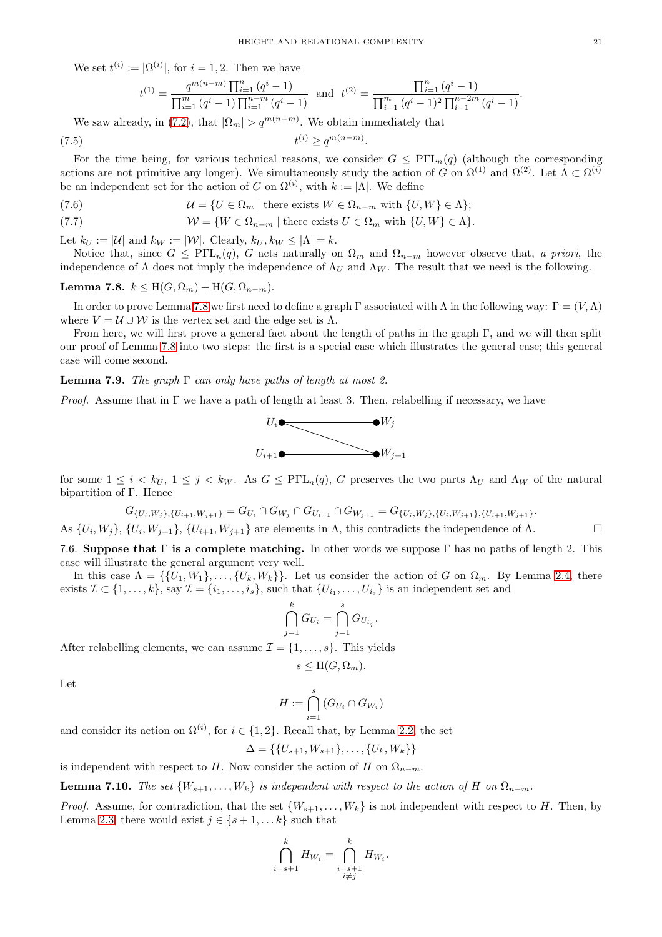We set  $t^{(i)} := |\Omega^{(i)}|$ , for  $i = 1, 2$ . Then we have

<span id="page-20-2"></span>
$$
t^{(1)} = \frac{q^{m(n-m)} \prod_{i=1}^{n} (q^{i} - 1)}{\prod_{i=1}^{m} (q^{i} - 1) \prod_{i=1}^{n-m} (q^{i} - 1)} \text{ and } t^{(2)} = \frac{\prod_{i=1}^{n} (q^{i} - 1)}{\prod_{i=1}^{m} (q^{i} - 1)^{2} \prod_{i=1}^{n-2m} (q^{i} - 1)}
$$

We saw already, in [\(7.2\)](#page-16-4), that  $|\Omega_m| > q^{m(n-m)}$ . We obtain immediately that  $(7.5)$  $^{(i)}$  ≥  $q^{m(n-m)}$ .

For the time being, for various technical reasons, we consider  $G \n\t\leq P\Gamma\mathcal{L}_n(q)$  (although the corresponding actions are not primitive any longer). We simultaneously study the action of G on  $\Omega^{(1)}$  and  $\Omega^{(2)}$ . Let  $\Lambda \subset \Omega^{(i)}$ be an independent set for the action of G on  $\Omega^{(i)}$ , with  $k := |\Lambda|$ . We define

(7.6) 
$$
\mathcal{U} = \{ U \in \Omega_m \mid \text{there exists } W \in \Omega_{n-m} \text{ with } \{ U, W \} \in \Lambda \};
$$

(7.7) 
$$
W = \{ W \in \Omega_{n-m} \mid \text{there exists } U \in \Omega_m \text{ with } \{U, W\} \in \Lambda \}.
$$

Let  $k_U := |\mathcal{U}|$  and  $k_W := |\mathcal{W}|$ . Clearly,  $k_U, k_W \leq |\Lambda| = k$ .

Notice that, since  $G \leq P\Gamma L_n(q)$ , G acts naturally on  $\Omega_m$  and  $\Omega_{n-m}$  however observe that, *a priori*, the independence of  $\Lambda$  does not imply the independence of  $\Lambda_U$  and  $\Lambda_W$ . The result that we need is the following.

<span id="page-20-0"></span>Lemma 7.8.  $k \leq H(G, \Omega_m) + H(G, \Omega_{n-m}).$ 

In order to prove Lemma [7.8](#page-20-0) we first need to define a graph Γ associated with  $\Lambda$  in the following way:  $\Gamma = (V,\Lambda)$ where  $V = U \cup W$  is the vertex set and the edge set is  $\Lambda$ .

From here, we will first prove a general fact about the length of paths in the graph Γ, and we will then split our proof of Lemma [7.8](#page-20-0) into two steps: the first is a special case which illustrates the general case; this general case will come second.

#### <span id="page-20-1"></span>Lemma 7.9. *The graph* Γ *can only have paths of length at most 2.*

*Proof.* Assume that in  $\Gamma$  we have a path of length at least 3. Then, relabelling if necessary, we have



for some  $1 \leq i \leq k_U$ ,  $1 \leq j \leq k_W$ . As  $G \leq P\Gamma L_n(q)$ , G preserves the two parts  $\Lambda_U$  and  $\Lambda_W$  of the natural bipartition of Γ. Hence

$$
G_{\{U_i, W_j\}, \{U_{i+1}, W_{j+1}\}} = G_{U_i} \cap G_{W_j} \cap G_{U_{i+1}} \cap G_{W_{j+1}} = G_{\{U_i, W_j\}, \{U_i, W_{j+1}\}, \{U_{i+1}, W_{j+1}\}}.
$$

As  $\{U_i, W_j\}$ ,  $\{U_i, W_{j+1}\}$ ,  $\{U_{i+1}, W_{j+1}\}$  are elements in  $\Lambda$ , this contradicts the independence of  $\Lambda$ .

7.6. Suppose that  $\Gamma$  is a complete matching. In other words we suppose  $\Gamma$  has no paths of length 2. This case will illustrate the general argument very well.

In this case  $\Lambda = \{ \{U_1, W_1\}, \ldots, \{U_k, W_k\} \}$ . Let us consider the action of G on  $\Omega_m$ . By Lemma [2.4,](#page-3-0) there exists  $\mathcal{I} \subset \{1, \ldots, k\}$ , say  $\mathcal{I} = \{i_1, \ldots, i_s\}$ , such that  $\{U_{i_1}, \ldots, U_{i_s}\}$  is an independent set and

$$
\bigcap_{j=1}^k G_{U_i} = \bigcap_{j=1}^s G_{U_{i_j}}.
$$

After relabelling elements, we can assume  $\mathcal{I} = \{1, \ldots, s\}$ . This yields

$$
s \leq \mathrm{H}(G, \Omega_m).
$$

Let

$$
H:=\bigcap_{i=1}^s\left(G_{U_i}\cap G_{W_i}\right)
$$

and consider its action on  $\Omega^{(i)}$ , for  $i \in \{1, 2\}$ . Recall that, by Lemma [2.2,](#page-3-2) the set

$$
\Delta = \{\{U_{s+1}, W_{s+1}\}, \ldots, \{U_k, W_k\}\}\
$$

is independent with respect to H. Now consider the action of H on  $\Omega_{n-m}$ .

**Lemma 7.10.** *The set*  $\{W_{s+1}, \ldots, W_k\}$  *is independent with respect to the action of* H *on*  $\Omega_{n-m}$ *.* 

*Proof.* Assume, for contradiction, that the set  $\{W_{s+1}, \ldots, W_k\}$  is not independent with respect to H. Then, by Lemma [2.3,](#page-3-1) there would exist  $j \in \{s+1,\ldots,k\}$  such that

$$
\bigcap_{i=s+1}^k H_{W_i} = \bigcap_{\substack{i=s+1\\i\neq j}}^k H_{W_i}.
$$

.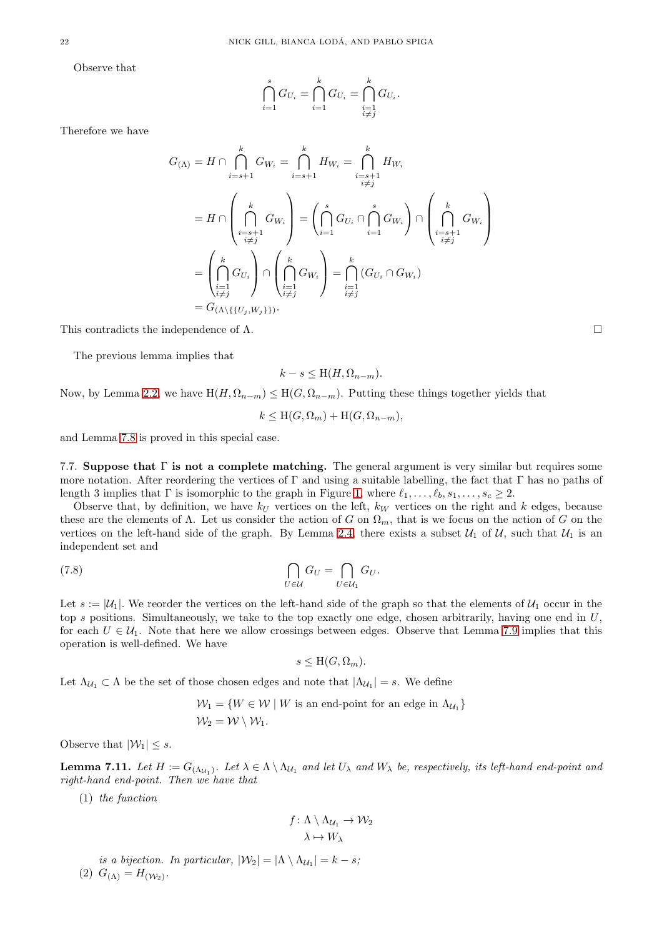Observe that

$$
\bigcap_{i=1}^s G_{U_i} = \bigcap_{i=1}^k G_{U_i} = \bigcap_{\substack{i=1 \\ i \neq j}}^k G_{U_i}.
$$

Therefore we have

$$
G_{(\Lambda)} = H \cap \bigcap_{i=s+1}^{k} G_{W_i} = \bigcap_{i=s+1}^{k} H_{W_i} = \bigcap_{\substack{i=s+1 \\ i \neq j}}^{k} H_{W_i}
$$
  
\n
$$
= H \cap \left(\bigcap_{\substack{i=s+1 \\ i \neq j}}^{k} G_{W_i}\right) = \left(\bigcap_{i=1}^{s} G_{U_i} \cap \bigcap_{i=1}^{s} G_{W_i}\right) \cap \left(\bigcap_{\substack{i=s+1 \\ i \neq j}}^{k} G_{W_i}\right)
$$
  
\n
$$
= \left(\bigcap_{\substack{i=1 \\ i \neq j}}^{k} G_{U_i}\right) \cap \left(\bigcap_{\substack{i=1 \\ i \neq j}}^{k} G_{W_i}\right) = \bigcap_{\substack{i=1 \\ i \neq j}}^{k} (G_{U_i} \cap G_{W_i})
$$
  
\n
$$
= G_{(\Lambda \setminus \{U_j, W_j\})}.
$$

This contradicts the independence of  $\Lambda$ .

The previous lemma implies that

$$
k - s \leq \mathcal{H}(H, \Omega_{n-m}).
$$

Now, by Lemma [2.2,](#page-3-2) we have  $H(H, \Omega_{n-m}) \leq H(G, \Omega_{n-m})$ . Putting these things together yields that

$$
k \le \mathcal{H}(G, \Omega_m) + \mathcal{H}(G, \Omega_{n-m}),
$$

and Lemma [7.8](#page-20-0) is proved in this special case.

7.7. Suppose that  $\Gamma$  is not a complete matching. The general argument is very similar but requires some more notation. After reordering the vertices of Γ and using a suitable labelling, the fact that Γ has no paths of length 3 implies that Γ is isomorphic to the graph in Figure [1,](#page-22-0) where  $\ell_1, \ldots, \ell_b, s_1, \ldots, s_c \geq 2$ .

Observe that, by definition, we have  $k_U$  vertices on the left,  $k_W$  vertices on the right and k edges, because these are the elements of  $\Lambda$ . Let us consider the action of G on  $\Omega_m$ , that is we focus on the action of G on the vertices on the left-hand side of the graph. By Lemma [2.4,](#page-3-0) there exists a subset  $\mathcal{U}_1$  of  $\mathcal{U}_2$ , such that  $\mathcal{U}_1$  is an independent set and

(7.8) 
$$
\bigcap_{U \in \mathcal{U}} G_U = \bigcap_{U \in \mathcal{U}_1} G_U.
$$

Let  $s := |\mathcal{U}_1|$ . We reorder the vertices on the left-hand side of the graph so that the elements of  $\mathcal{U}_1$  occur in the top s positions. Simultaneously, we take to the top exactly one edge, chosen arbitrarily, having one end in  $U$ , for each  $U \in \mathcal{U}_1$ . Note that here we allow crossings between edges. Observe that Lemma [7.9](#page-20-1) implies that this operation is well-defined. We have

<span id="page-21-0"></span>
$$
s \leq \mathrm{H}(G, \Omega_m).
$$

Let  $\Lambda_{\mathcal{U}_1} \subset \Lambda$  be the set of those chosen edges and note that  $|\Lambda_{\mathcal{U}_1}| = s$ . We define

$$
\mathcal{W}_1 = \{ W \in \mathcal{W} \mid W \text{ is an end-point for an edge in } \Lambda_{\mathcal{U}_1} \}
$$
  

$$
\mathcal{W}_2 = \mathcal{W} \setminus \mathcal{W}_1.
$$

Observe that  $|\mathcal{W}_1| \leq s$ .

**Lemma 7.11.** Let  $H := G_{(\Lambda_{U_1})}$ . Let  $\lambda \in \Lambda \setminus \Lambda_{U_1}$  and let  $U_\lambda$  and  $W_\lambda$  be, respectively, its left-hand end-point and *right-hand end-point. Then we have that*

(1) *the function*

$$
f: \Lambda \setminus \Lambda_{\mathcal{U}_1} \to \mathcal{W}_2
$$

$$
\lambda \mapsto W_{\lambda}
$$

*is a bijection. In particular,*  $|\mathcal{W}_2| = |\Lambda \setminus \Lambda_{\mathcal{U}_1}| = k - s;$ (2)  $G_{(\Lambda)} = H_{(\mathcal{W}_2)}$ .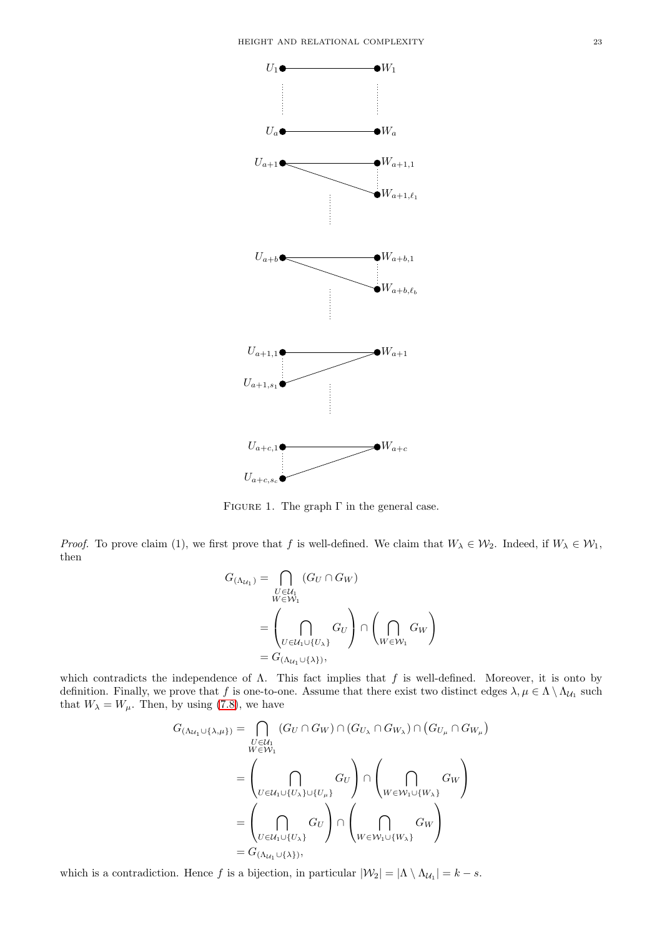<span id="page-22-0"></span>

FIGURE 1. The graph  $\Gamma$  in the general case.

*Proof.* To prove claim (1), we first prove that f is well-defined. We claim that  $W_{\lambda} \in \mathcal{W}_2$ . Indeed, if  $W_{\lambda} \in \mathcal{W}_1$ , then

$$
G_{(\Lambda_{U_1})} = \bigcap_{\substack{U \in U_1 \\ W \in W_1}} (G_U \cap G_W)
$$
  
= 
$$
\left(\bigcap_{U \in U_1 \cup \{U_\lambda\}} G_U\right) \cap \left(\bigcap_{W \in W_1} G_W\right)
$$
  
= 
$$
G_{(\Lambda_{U_1} \cup \{\lambda\})},
$$

which contradicts the independence of  $\Lambda$ . This fact implies that f is well-defined. Moreover, it is onto by definition. Finally, we prove that f is one-to-one. Assume that there exist two distinct edges  $\lambda, \mu \in \Lambda \setminus \Lambda_{U_1}$  such that  $W_{\lambda} = W_{\mu}$ . Then, by using [\(7.8\)](#page-21-0), we have

$$
G_{(\Lambda_{U_1}\cup\{\lambda,\mu\})} = \bigcap_{\substack{U \in U_1 \\ W \in W_1}} (G_U \cap G_W) \cap (G_{U_{\lambda}} \cap G_{W_{\lambda}}) \cap (G_{U_{\mu}} \cap G_{W_{\mu}})
$$
  

$$
= \left(\bigcap_{U \in U_1 \cup \{U_{\lambda}\} \cup \{U_{\mu}\}} G_U\right) \cap \left(\bigcap_{W \in W_1 \cup \{W_{\lambda}\}} G_W\right)
$$
  

$$
= \left(\bigcap_{U \in U_1 \cup \{U_{\lambda}\}} G_U\right) \cap \left(\bigcap_{W \in W_1 \cup \{W_{\lambda}\}} G_W\right)
$$
  

$$
= G_{(\Lambda_{U_1}\cup\{\lambda\})},
$$

which is a contradiction. Hence f is a bijection, in particular  $|\mathcal{W}_2| = |\Lambda \setminus \Lambda_{\mathcal{U}_1}| = k - s$ .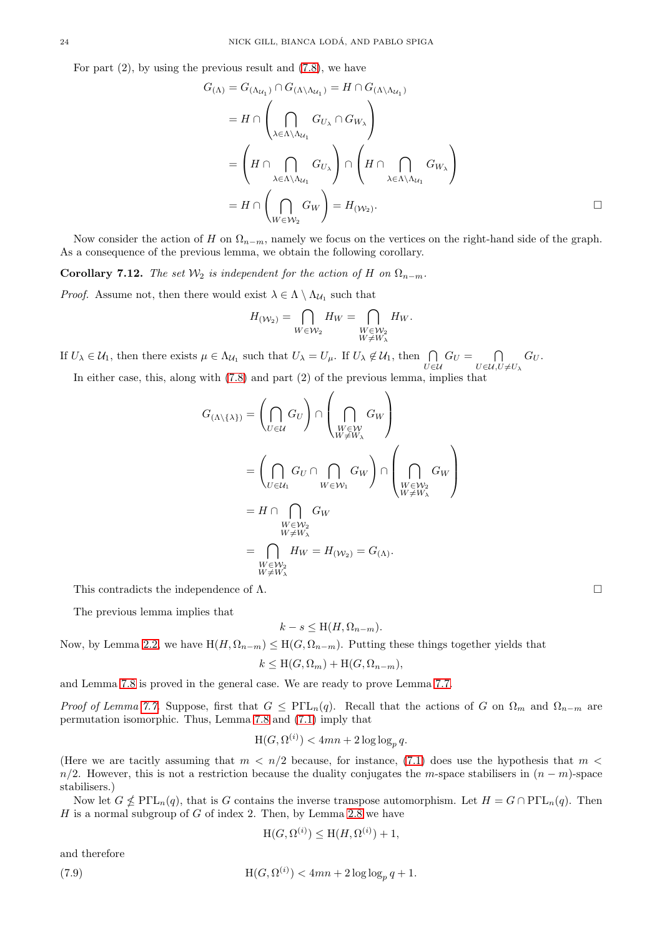For part  $(2)$ , by using the previous result and  $(7.8)$ , we have

$$
G_{(\Lambda)} = G_{(\Lambda_{U_1})} \cap G_{(\Lambda \backslash \Lambda_{U_1})} = H \cap G_{(\Lambda \backslash \Lambda_{U_1})}
$$
  
\n
$$
= H \cap \left( \bigcap_{\lambda \in \Lambda \backslash \Lambda_{U_1}} G_{U_{\lambda}} \cap G_{W_{\lambda}} \right)
$$
  
\n
$$
= \left( H \cap \bigcap_{\lambda \in \Lambda \backslash \Lambda_{U_1}} G_{U_{\lambda}} \right) \cap \left( H \cap \bigcap_{\lambda \in \Lambda \backslash \Lambda_{U_1}} G_{W_{\lambda}} \right)
$$
  
\n
$$
= H \cap \left( \bigcap_{W \in W_2} G_W \right) = H_{(W_2)}.
$$

Now consider the action of H on  $\Omega_{n-m}$ , namely we focus on the vertices on the right-hand side of the graph. As a consequence of the previous lemma, we obtain the following corollary.

**Corollary 7.12.** *The set*  $W_2$  *is independent for the action of* H *on*  $\Omega_{n-m}$ *.* 

*Proof.* Assume not, then there would exist  $\lambda \in \Lambda \setminus \Lambda_{\mathcal{U}_1}$  such that

$$
H_{(\mathcal{W}_2)} = \bigcap_{W \in \mathcal{W}_2} H_W = \bigcap_{\substack{W \in \mathcal{W}_2 \\ W \neq W_\lambda}} H_W.
$$

If  $U_{\lambda} \in \mathcal{U}_1$ , then there exists  $\mu \in \Lambda_{\mathcal{U}_1}$  such that  $U_{\lambda} = U_{\mu}$ . If  $U_{\lambda} \notin \mathcal{U}_1$ , then  $\bigcap_{U \in \mathcal{U}} G_U = \bigcap_{U \in \mathcal{U}, U}$  $U\in\mathcal{U},U\neq U_{\lambda}$  $G_U.$ 

In either case, this, along with [\(7.8\)](#page-21-0) and part (2) of the previous lemma, implies that

$$
G_{(\Lambda \setminus \{\lambda\})} = \left(\bigcap_{U \in \mathcal{U}} G_U\right) \cap \left(\bigcap_{\substack{W \in \mathcal{W} \\ W \neq W_{\lambda}}} G_W\right)
$$
  
= 
$$
\left(\bigcap_{U \in \mathcal{U}_1} G_U \cap \bigcap_{W \in \mathcal{W}_1} G_W\right) \cap \left(\bigcap_{\substack{W \in \mathcal{W}_2 \\ W \neq W_{\lambda}}} G_W\right)
$$
  
= 
$$
H \cap \bigcap_{\substack{W \in \mathcal{W}_2 \\ W \neq W_{\lambda}}} G_W
$$
  
= 
$$
\bigcap_{\substack{W \in \mathcal{W}_2 \\ W \neq W_{\lambda}}} H_W = H_{(\mathcal{W}_2)} = G_{(\Lambda)}.
$$

This contradicts the independence of  $\Lambda$ .

The previous lemma implies that

$$
k - s \le \mathcal{H}(H, \Omega_{n-m}).
$$

Now, by Lemma [2.2,](#page-3-2) we have  $H(H, \Omega_{n-m}) \leq H(G, \Omega_{n-m})$ . Putting these things together yields that

$$
k \leq \mathcal{H}(G, \Omega_m) + \mathcal{H}(G, \Omega_{n-m}),
$$

and Lemma [7.8](#page-20-0) is proved in the general case. We are ready to prove Lemma [7.7.](#page-19-0)

*Proof of Lemma [7.7.](#page-19-0)* Suppose, first that  $G \text{ } \leq P\Gamma L_n(q)$ . Recall that the actions of G on  $\Omega_m$  and  $\Omega_{n-m}$  are permutation isomorphic. Thus, Lemma [7.8](#page-20-0) and [\(7.1\)](#page-16-5) imply that

$$
H(G, \Omega^{(i)}) < 4mn + 2\log\log_p q.
$$

(Here we are tacitly assuming that  $m < n/2$  because, for instance, [\(7.1\)](#page-16-5) does use the hypothesis that  $m <$  $n/2$ . However, this is not a restriction because the duality conjugates the m-space stabilisers in  $(n - m)$ -space stabilisers.)

Now let  $G \nleq \text{P}\Gamma\text{L}_n(q)$ , that is G contains the inverse transpose automorphism. Let  $H = G \cap \text{P}\Gamma\text{L}_n(q)$ . Then H is a normal subgroup of G of index 2. Then, by Lemma [2.8](#page-4-3) we have

$$
H(G, \Omega^{(i)}) \le H(H, \Omega^{(i)}) + 1,
$$

and therefore

(7.9) 
$$
H(G, \Omega^{(i)}) < 4mn + 2\log\log_p q + 1.
$$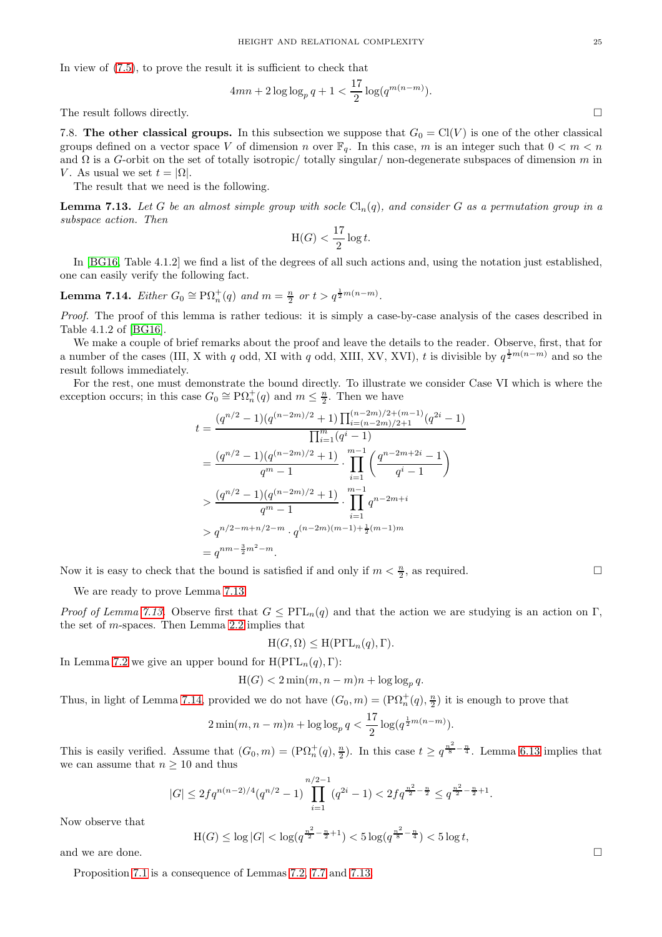In view of [\(7.5\)](#page-20-2), to prove the result it is sufficient to check that

$$
4mn + 2\log\log_p q + 1 < \frac{17}{2}\log(q^{m(n-m)}).
$$

The result follows directly.  $\Box$ 

7.8. The other classical groups. In this subsection we suppose that  $G_0 = Cl(V)$  is one of the other classical groups defined on a vector space V of dimension n over  $\mathbb{F}_q$ . In this case, m is an integer such that  $0 < m < n$ and  $\Omega$  is a G-orbit on the set of totally isotropic/ totally singular/ non-degenerate subspaces of dimension m in V. As usual we set  $t = |\Omega|$ .

The result that we need is the following.

<span id="page-24-0"></span>**Lemma 7.13.** Let G be an almost simple group with socle  $Cl_n(q)$ , and consider G as a permutation group in a *subspace action. Then*

$$
H(G) < \frac{17}{2} \log t.
$$

In [\[BG16,](#page-25-21) Table 4.1.2] we find a list of the degrees of all such actions and, using the notation just established, one can easily verify the following fact.

<span id="page-24-1"></span>**Lemma 7.14.** *Either*  $G_0 \cong \mathrm{P}\Omega_n^+(q)$  *and*  $m = \frac{n}{2}$  *or*  $t > q^{\frac{1}{2}m(n-m)}$ *.* 

*Proof.* The proof of this lemma is rather tedious: it is simply a case-by-case analysis of the cases described in Table 4.1.2 of [\[BG16\]](#page-25-21).

We make a couple of brief remarks about the proof and leave the details to the reader. Observe, first, that for a number of the cases (III, X with q odd, XI with q odd, XIII, XV, XVI), t is divisible by  $q^{\frac{1}{2}m(n-m)}$  and so the result follows immediately.

For the rest, one must demonstrate the bound directly. To illustrate we consider Case VI which is where the exception occurs; in this case  $G_0 \cong \mathrm{P}\Omega_n^+(q)$  and  $m \leq \frac{n}{2}$ . Then we have

$$
t = \frac{(q^{n/2} - 1)(q^{(n-2m)/2} + 1) \prod_{i=(n-2m)/2+(m-1)}^{(n-2m)/2+(m-1)} (q^{2i} - 1)}{\prod_{i=1}^{m} (q^{i} - 1)}
$$
  
= 
$$
\frac{(q^{n/2} - 1)(q^{(n-2m)/2} + 1)}{q^m - 1} \cdot \prod_{i=1}^{m-1} \left(\frac{q^{n-2m+2i} - 1}{q^i - 1}\right)
$$
  
> 
$$
\frac{(q^{n/2} - 1)(q^{(n-2m)/2} + 1)}{q^m - 1} \cdot \prod_{i=1}^{m-1} q^{n-2m+i}
$$
  
> 
$$
q^{n/2 - m + n/2 - m} \cdot q^{(n-2m)(m-1) + \frac{1}{2}(m-1)m}
$$
  
= 
$$
q^{nm - \frac{3}{2}m^2 - m}.
$$

Now it is easy to check that the bound is satisfied if and only if  $m < \frac{n}{2}$ , as required.

We are ready to prove Lemma [7.13.](#page-24-0)

*Proof of Lemma [7.13.](#page-24-0)* Observe first that  $G \leq PIL_n(q)$  and that the action we are studying is an action on Γ, the set of  $m$ -spaces. Then Lemma [2.2](#page-3-2) implies that

$$
H(G, \Omega) \le H( \text{P}\Gamma L_n(q), \Gamma).
$$

In Lemma [7.2](#page-16-2) we give an upper bound for  $H(PTL_n(q), \Gamma)$ :

$$
H(G) < 2\min(m, n-m)n + \log\log_p q.
$$

Thus, in light of Lemma [7.14,](#page-24-1) provided we do not have  $(G_0, m) = (P\Omega_n^+(q), \frac{n}{2})$  it is enough to prove that

$$
2\min(m, n-m)n + \log\log_p q < \frac{17}{2}\log(q^{\frac{1}{2}m(n-m)}).
$$

This is easily verified. Assume that  $(G_0, m) = (\mathbb{P}\Omega_n^+(q), \frac{n}{2})$ . In this case  $t \ge q^{\frac{n^2}{8} - \frac{n}{4}}$ . Lemma [6.13](#page-15-5) implies that we can assume that  $n \geq 10$  and thus

$$
|G| \le 2fq^{n(n-2)/4}(q^{n/2}-1)\prod_{i=1}^{n/2-1}(q^{2i}-1) < 2fq^{\frac{n^2}{2}-\frac{n}{2}} \le q^{\frac{n^2}{2}-\frac{n}{2}+1}.
$$

Now observe that

Now observe that  
\n
$$
H(G) \le \log |G| < \log (q^{\frac{n^2}{2} - \frac{n}{2} + 1}) < 5 \log (q^{\frac{n^2}{8} - \frac{n}{4}}) < 5 \log t,
$$

Proposition [7.1](#page-16-6) is a consequence of Lemmas [7.2,](#page-16-2) [7.7](#page-19-0) and [7.13.](#page-24-0)